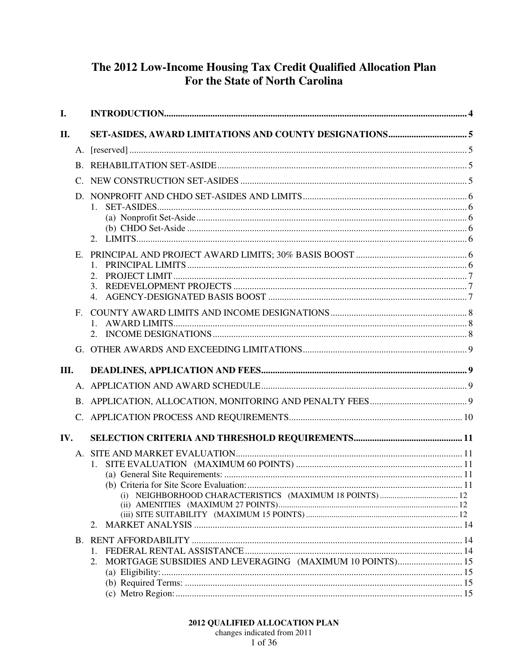# The 2012 Low-Income Housing Tax Credit Qualified Allocation Plan For the State of North Carolina

| $\mathbf{I}$ . |                                                          |  |
|----------------|----------------------------------------------------------|--|
| П.             |                                                          |  |
|                |                                                          |  |
|                |                                                          |  |
|                |                                                          |  |
|                | $1_{-}$                                                  |  |
|                | 2.                                                       |  |
| Е.             | 2.<br>3.                                                 |  |
|                | 4.                                                       |  |
| $F_{\rm{L}}$   |                                                          |  |
|                |                                                          |  |
| III.           |                                                          |  |
|                |                                                          |  |
|                |                                                          |  |
|                |                                                          |  |
|                |                                                          |  |
| IV.            |                                                          |  |
|                |                                                          |  |
|                |                                                          |  |
|                |                                                          |  |
|                | 2.                                                       |  |
|                |                                                          |  |
|                | MORTGAGE SUBSIDIES AND LEVERAGING (MAXIMUM 10 POINTS) 15 |  |
|                | 2.                                                       |  |
|                |                                                          |  |
|                |                                                          |  |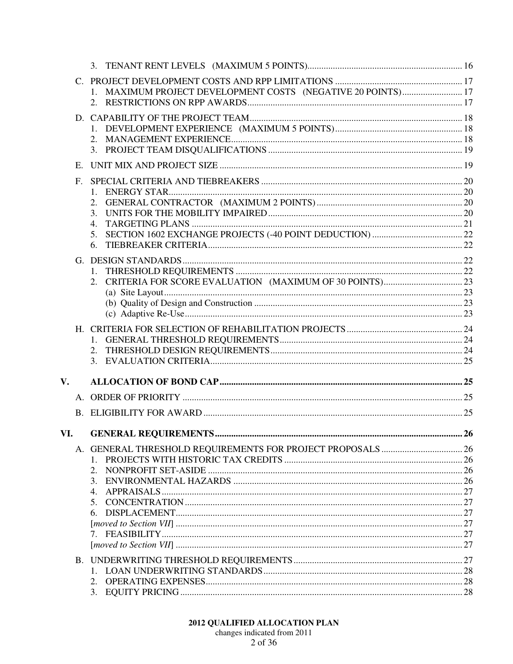|             | $C_{\cdot}$  |                                                              |           |
|-------------|--------------|--------------------------------------------------------------|-----------|
|             |              | 1. MAXIMUM PROJECT DEVELOPMENT COSTS (NEGATIVE 20 POINTS) 17 |           |
|             |              |                                                              |           |
|             |              |                                                              |           |
|             |              |                                                              |           |
|             |              |                                                              |           |
|             |              |                                                              |           |
|             | $E_{\rm{r}}$ |                                                              |           |
|             | $F_{\cdot}$  |                                                              |           |
|             |              | 1.                                                           |           |
|             |              | 2.                                                           |           |
|             |              | 3.                                                           |           |
|             |              | 4.                                                           |           |
|             |              | 5.                                                           |           |
|             |              | 6.                                                           |           |
|             |              |                                                              |           |
|             |              |                                                              |           |
|             |              | 2.                                                           |           |
|             |              |                                                              |           |
|             |              |                                                              |           |
|             |              |                                                              |           |
|             |              |                                                              |           |
|             |              |                                                              |           |
|             |              |                                                              |           |
|             |              |                                                              |           |
| $V_{\star}$ |              |                                                              |           |
|             |              |                                                              |           |
|             |              |                                                              |           |
|             |              |                                                              |           |
| VI.         |              | <b>GENERAL REOUIREMENTS.</b>                                 | <b>26</b> |
|             |              |                                                              |           |
|             |              | $1_{-}$                                                      |           |
|             |              | 2.                                                           |           |
|             |              | 3.                                                           |           |
|             |              | 4.                                                           |           |
|             |              | 5.                                                           |           |
|             |              | 6.                                                           |           |
|             |              |                                                              |           |
|             |              |                                                              |           |
|             |              |                                                              |           |
|             |              |                                                              |           |
|             |              | 2.                                                           |           |
|             |              | 3.                                                           |           |
|             |              |                                                              |           |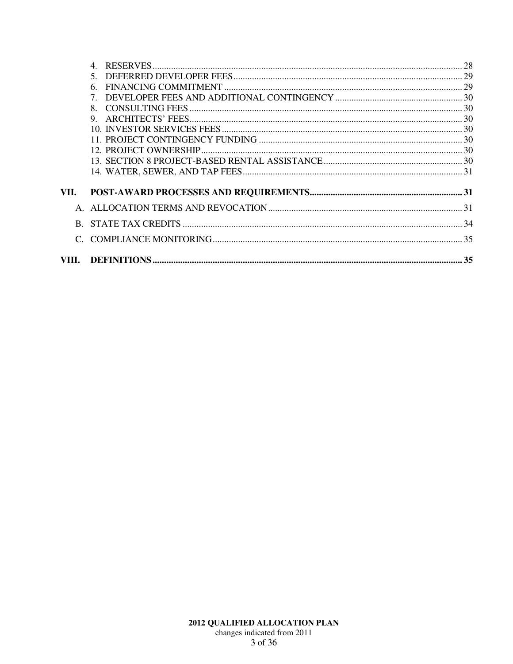|       | $\overline{4}$ |  |
|-------|----------------|--|
|       | $\mathcal{F}$  |  |
|       | 6              |  |
|       |                |  |
|       | 8              |  |
|       | 9              |  |
|       |                |  |
|       |                |  |
|       |                |  |
|       |                |  |
|       |                |  |
| VII.  |                |  |
|       |                |  |
| R.    |                |  |
|       |                |  |
| VIII. |                |  |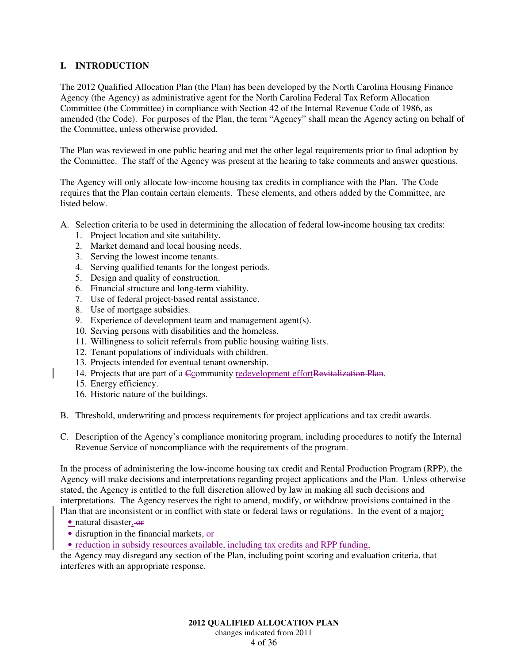# **I. INTRODUCTION**

The 2012 Qualified Allocation Plan (the Plan) has been developed by the North Carolina Housing Finance Agency (the Agency) as administrative agent for the North Carolina Federal Tax Reform Allocation Committee (the Committee) in compliance with Section 42 of the Internal Revenue Code of 1986, as amended (the Code). For purposes of the Plan, the term "Agency" shall mean the Agency acting on behalf of the Committee, unless otherwise provided.

The Plan was reviewed in one public hearing and met the other legal requirements prior to final adoption by the Committee. The staff of the Agency was present at the hearing to take comments and answer questions.

The Agency will only allocate low-income housing tax credits in compliance with the Plan. The Code requires that the Plan contain certain elements. These elements, and others added by the Committee, are listed below.

- A. Selection criteria to be used in determining the allocation of federal low-income housing tax credits:
	- 1. Project location and site suitability.
	- 2. Market demand and local housing needs.
	- 3. Serving the lowest income tenants.
	- 4. Serving qualified tenants for the longest periods.
	- 5. Design and quality of construction.
	- 6. Financial structure and long-term viability.
	- 7. Use of federal project-based rental assistance.
	- 8. Use of mortgage subsidies.
	- 9. Experience of development team and management agent(s).
	- 10. Serving persons with disabilities and the homeless.
	- 11. Willingness to solicit referrals from public housing waiting lists.
	- 12. Tenant populations of individuals with children.
	- 13. Projects intended for eventual tenant ownership.
	- 14. Projects that are part of a Ccommunity redevelopment effortRevitalization Plan.
	- 15. Energy efficiency.
	- 16. Historic nature of the buildings.
- B. Threshold, underwriting and process requirements for project applications and tax credit awards.
- C. Description of the Agency's compliance monitoring program, including procedures to notify the Internal Revenue Service of noncompliance with the requirements of the program.

In the process of administering the low-income housing tax credit and Rental Production Program (RPP), the Agency will make decisions and interpretations regarding project applications and the Plan. Unless otherwise stated, the Agency is entitled to the full discretion allowed by law in making all such decisions and interpretations. The Agency reserves the right to amend, modify, or withdraw provisions contained in the Plan that are inconsistent or in conflict with state or federal laws or regulations. In the event of a major:

- natural disaster, or
- disruption in the financial markets, or

• reduction in subsidy resources available, including tax credits and RPP funding,

the Agency may disregard any section of the Plan, including point scoring and evaluation criteria, that interferes with an appropriate response.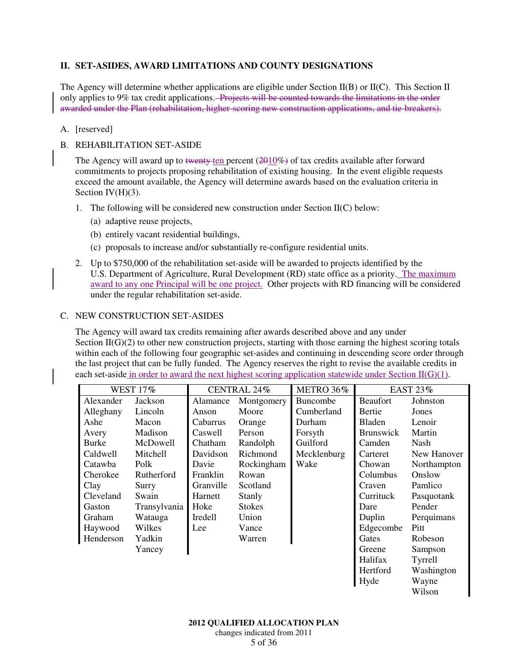# **II. SET-ASIDES, AWARD LIMITATIONS AND COUNTY DESIGNATIONS**

The Agency will determine whether applications are eligible under Section II(B) or II(C). This Section II only applies to 9% tax credit applications. Projects will be counted towards the limitations in the order awarded under the Plan (rehabilitation, higher-scoring new construction applications, and tie-breakers).

#### A. [reserved]

### B. REHABILITATION SET-ASIDE

The Agency will award up to twenty ten percent  $(2010\%)$  of tax credits available after forward commitments to projects proposing rehabilitation of existing housing. In the event eligible requests exceed the amount available, the Agency will determine awards based on the evaluation criteria in Section  $IV(H)(3)$ .

- 1. The following will be considered new construction under Section II(C) below:
	- (a) adaptive reuse projects,
	- (b) entirely vacant residential buildings,
	- (c) proposals to increase and/or substantially re-configure residential units.
- 2. Up to \$750,000 of the rehabilitation set-aside will be awarded to projects identified by the U.S. Department of Agriculture, Rural Development (RD) state office as a priority. The maximum award to any one Principal will be one project. Other projects with RD financing will be considered under the regular rehabilitation set-aside.

#### C. NEW CONSTRUCTION SET-ASIDES

The Agency will award tax credits remaining after awards described above and any under Section  $II(G)(2)$  to other new construction projects, starting with those earning the highest scoring totals within each of the following four geographic set-asides and continuing in descending score order through the last project that can be fully funded. The Agency reserves the right to revise the available credits in each set-aside in order to award the next highest scoring application statewide under Section  $II(G)(1)$ .

| <b>WEST 17%</b> |              | CENTRAL 24%     |               | METRO 36%       | <b>EAST 23%</b>  |             |
|-----------------|--------------|-----------------|---------------|-----------------|------------------|-------------|
| Alexander       | Jackson      | Alamance        | Montgomery    | <b>Buncombe</b> | Beaufort         | Johnston    |
| Alleghany       | Lincoln      | Anson           | Moore         | Cumberland      | <b>Bertie</b>    | Jones       |
| Ashe            | Macon        | Cabarrus        | Orange        | Durham          | <b>Bladen</b>    | Lenoir      |
| Avery           | Madison      | Caswell         | Person        | Forsyth         | <b>Brunswick</b> | Martin      |
| Burke           | McDowell     | Chatham         | Randolph      | Guilford        | Camden           | Nash        |
| Caldwell        | Mitchell     | Davidson        | Richmond      | Mecklenburg     | Carteret         | New Hanover |
| Catawba         | Polk         | Davie           | Rockingham    | Wake            | Chowan           | Northampton |
| Cherokee        | Rutherford   | <b>Franklin</b> | Rowan         |                 | Columbus         | Onslow      |
| Clay            | Surry        | Granville       | Scotland      |                 | Craven           | Pamlico     |
| Cleveland       | Swain        | Harnett         | Stanly        |                 | Currituck        | Pasquotank  |
| Gaston          | Transylvania | Hoke            | <b>Stokes</b> |                 | Dare             | Pender      |
| Graham          | Watauga      | <b>Iredell</b>  | Union         |                 | Duplin           | Perquimans  |
| Haywood         | Wilkes       | Lee             | Vance         |                 | Edgecombe        | Pitt        |
| Henderson       | Yadkin       |                 | Warren        |                 | Gates            | Robeson     |
|                 | Yancey       |                 |               |                 | Greene           | Sampson     |
|                 |              |                 |               |                 | Halifax          | Tyrrell     |
|                 |              |                 |               |                 | Hertford         | Washington  |
|                 |              |                 |               |                 | Hyde             | Wayne       |
|                 |              |                 |               |                 |                  | Wilson      |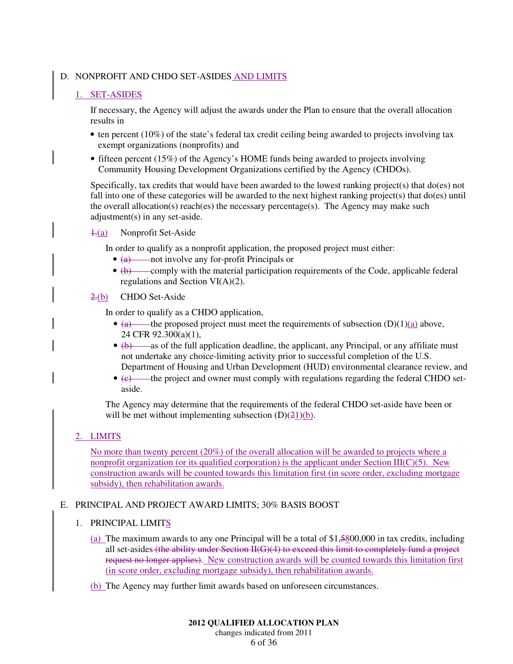# D. NONPROFIT AND CHDO SET-ASIDES AND LIMITS

# 1. SET-ASIDES

If necessary, the Agency will adjust the awards under the Plan to ensure that the overall allocation results in

- ten percent (10%) of the state's federal tax credit ceiling being awarded to projects involving tax exempt organizations (nonprofits) and
- fifteen percent (15%) of the Agency's HOME funds being awarded to projects involving Community Housing Development Organizations certified by the Agency (CHDOs).

Specifically, tax credits that would have been awarded to the lowest ranking project(s) that do(es) not fall into one of these categories will be awarded to the next highest ranking project(s) that do(es) until the overall allocation(s) reach(es) the necessary percentage(s). The Agency may make such adjustment(s) in any set-aside.

1.(a) Nonprofit Set-Aside

In order to qualify as a nonprofit application, the proposed project must either:

- (a) not involve any for-profit Principals or
- $\bullet$  (b) comply with the material participation requirements of the Code, applicable federal regulations and Section VI(A)(2).

# 2.(b) CHDO Set-Aside

In order to qualify as a CHDO application,

- (a) the proposed project must meet the requirements of subsection  $(D)(1)(a)$  above, 24 CFR 92.300(a)(1),
- $\bullet$   $\leftrightarrow$   $\bullet$   $\bullet$   $\bullet$  as of the full application deadline, the applicant, any Principal, or any affiliate must not undertake any choice-limiting activity prior to successful completion of the U.S. Department of Housing and Urban Development (HUD) environmental clearance review, and
- (e) the project and owner must comply with regulations regarding the federal CHDO setaside.

The Agency may determine that the requirements of the federal CHDO set-aside have been or will be met without implementing subsection  $(D)(21)(b)$ .

# 2. LIMITS

No more than twenty percent (20%) of the overall allocation will be awarded to projects where a nonprofit organization (or its qualified corporation) is the applicant under Section III( $C(5)$ . New construction awards will be counted towards this limitation first (in score order, excluding mortgage subsidy), then rehabilitation awards.

# E. PRINCIPAL AND PROJECT AWARD LIMITS; 30% BASIS BOOST

# 1. PRINCIPAL LIMITS

- (a) The maximum awards to any one Principal will be a total of \$1,5800,000 in tax credits, including all set-asides (the ability under Section II(G)(4) to exceed this limit to completely fund a project request no longer applies). New construction awards will be counted towards this limitation first (in score order, excluding mortgage subsidy), then rehabilitation awards.
- (b) The Agency may further limit awards based on unforeseen circumstances.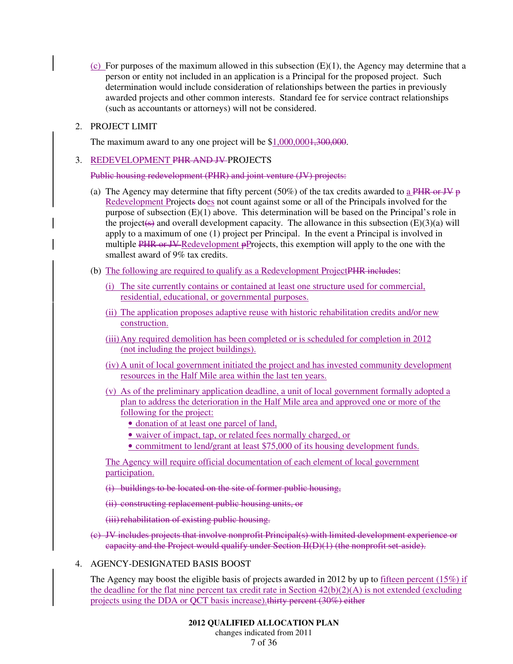(c) For purposes of the maximum allowed in this subsection  $(E)(1)$ , the Agency may determine that a person or entity not included in an application is a Principal for the proposed project. Such determination would include consideration of relationships between the parties in previously awarded projects and other common interests. Standard fee for service contract relationships (such as accountants or attorneys) will not be considered.

# 2. PROJECT LIMIT

The maximum award to any one project will be \$1,000,000<del>1,300,000</del>.

# 3. REDEVELOPMENT PHR AND JV PROJECTS

Public housing redevelopment (PHR) and joint venture (JV) projects:

- (a) The Agency may determine that fifty percent (50%) of the tax credits awarded to a PHR or JV  $\overline{p}$ Redevelopment Projects does not count against some or all of the Principals involved for the purpose of subsection  $(E)(1)$  above. This determination will be based on the Principal's role in the project(s) and overall development capacity. The allowance in this subsection  $(E)(3)(a)$  will apply to a maximum of one (1) project per Principal. In the event a Principal is involved in multiple PHR or JV-Redevelopment pProjects, this exemption will apply to the one with the smallest award of 9% tax credits.
- (b) The following are required to qualify as a Redevelopment Project PHR includes:
	- (i) The site currently contains or contained at least one structure used for commercial, residential, educational, or governmental purposes.
	- (ii) The application proposes adaptive reuse with historic rehabilitation credits and/or new construction.
	- (iii) Any required demolition has been completed or is scheduled for completion in 2012 (not including the project buildings).
	- (iv) A unit of local government initiated the project and has invested community development resources in the Half Mile area within the last ten years.
	- (v) As of the preliminary application deadline, a unit of local government formally adopted a plan to address the deterioration in the Half Mile area and approved one or more of the following for the project:
		- donation of at least one parcel of land,
		- waiver of impact, tap, or related fees normally charged, or
		- commitment to lend/grant at least \$75,000 of its housing development funds.

The Agency will require official documentation of each element of local government participation.

(i) buildings to be located on the site of former public housing,

(ii) constructing replacement public housing units, or

(iii) rehabilitation of existing public housing.

(c) JV includes projects that involve nonprofit Principal(s) with limited development experience or capacity and the Project would qualify under Section II(D)(1) (the nonprofit set-aside).

# 4. AGENCY-DESIGNATED BASIS BOOST

The Agency may boost the eligible basis of projects awarded in 2012 by up to fifteen percent (15%) if the deadline for the flat nine percent tax credit rate in Section  $42(b)(2)(A)$  is not extended (excluding projects using the DDA or QCT basis increase).thirty percent (30%) either

# **2012 QUALIFIED ALLOCATION PLAN**

changes indicated from 2011 7 of 36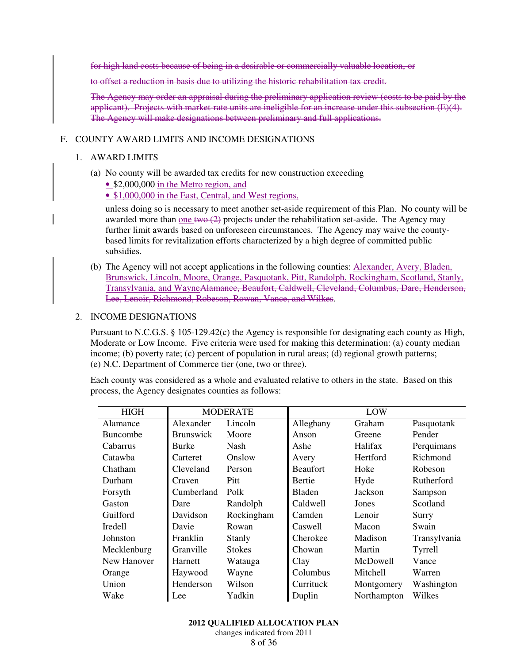for high land costs because of being in a desirable or commercially valuable location, or

to offset a reduction in basis due to utilizing the historic rehabilitation tax credit.

The Agency may order an appraisal during the preliminary application review (costs to be paid by the applicant). Projects with market-rate units are ineligible for an increase under this subsection (E)(4). The Agency will make designations between preliminary and full applications.

### F. COUNTY AWARD LIMITS AND INCOME DESIGNATIONS

#### 1. AWARD LIMITS

(a) No county will be awarded tax credits for new construction exceeding

• \$2,000,000 in the Metro region, and

• \$1,000,000 in the East, Central, and West regions,

unless doing so is necessary to meet another set-aside requirement of this Plan. No county will be awarded more than <u>one two  $(2)$ </u> projects under the rehabilitation set-aside. The Agency may further limit awards based on unforeseen circumstances. The Agency may waive the countybased limits for revitalization efforts characterized by a high degree of committed public subsidies.

(b) The Agency will not accept applications in the following counties: Alexander, Avery, Bladen, Brunswick, Lincoln, Moore, Orange, Pasquotank, Pitt, Randolph, Rockingham, Scotland, Stanly, Transylvania, and WayneAlamance, Beaufort, Caldwell, Cleveland, Columbus, Dare, Henderson, Lee, Lenoir, Richmond, Robeson, Rowan, Vance, and Wilkes.

#### 2. INCOME DESIGNATIONS

Pursuant to N.C.G.S. § 105-129.42(c) the Agency is responsible for designating each county as High, Moderate or Low Income. Five criteria were used for making this determination: (a) county median income; (b) poverty rate; (c) percent of population in rural areas; (d) regional growth patterns; (e) N.C. Department of Commerce tier (one, two or three).

Each county was considered as a whole and evaluated relative to others in the state. Based on this process, the Agency designates counties as follows:

| <b>HIGH</b>     | <b>MODERATE</b>  |               | LOW             |             |              |
|-----------------|------------------|---------------|-----------------|-------------|--------------|
| Alamance        | Alexander        | Lincoln       | Alleghany       | Graham      | Pasquotank   |
| <b>Buncombe</b> | <b>Brunswick</b> | Moore         | Anson           | Greene      | Pender       |
| Cabarrus        | Burke            | Nash          | Ashe            | Halifax     | Perquimans   |
| Catawba         | Carteret         | Onslow        | Avery           | Hertford    | Richmond     |
| Chatham         | Cleveland        | Person        | <b>Beaufort</b> | Hoke        | Robeson      |
| Durham          | Craven           | Pitt          | <b>Bertie</b>   | Hyde        | Rutherford   |
| Forsyth         | Cumberland       | Polk          | <b>Bladen</b>   | Jackson     | Sampson      |
| Gaston          | Dare             | Randolph      | Caldwell        | Jones       | Scotland     |
| <b>Guilford</b> | Davidson         | Rockingham    | Camden          | Lenoir      | Surry        |
| Iredell         | Davie            | Rowan         | Caswell         | Macon       | Swain        |
| Johnston        | Franklin         | Stanly        | Cherokee        | Madison     | Transylvania |
| Mecklenburg     | Granville        | <b>Stokes</b> | Chowan          | Martin      | Tyrrell      |
| New Hanover     | Harnett          | Watauga       | Clay            | McDowell    | Vance        |
| Orange          | Haywood          | Wayne         | Columbus        | Mitchell    | Warren       |
| Union           | Henderson        | Wilson        | Currituck       | Montgomery  | Washington   |
| Wake            | Lee              | Yadkin        | Duplin          | Northampton | Wilkes       |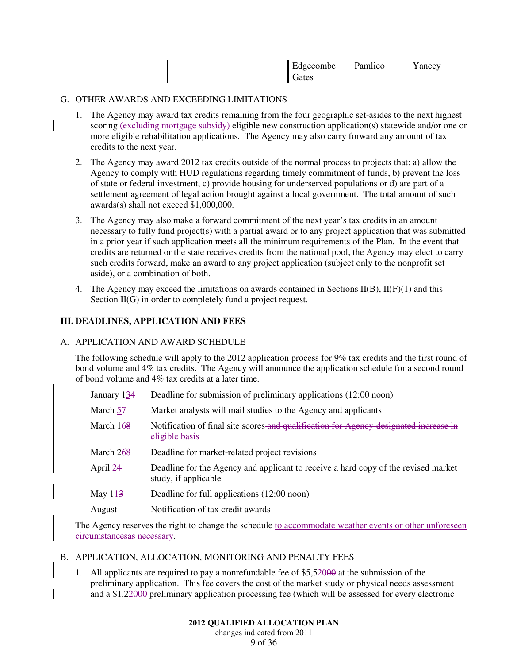| Edgecombe | Pamlico | Yancey |
|-----------|---------|--------|
| Gates     |         |        |

### G. OTHER AWARDS AND EXCEEDING LIMITATIONS

- 1. The Agency may award tax credits remaining from the four geographic set-asides to the next highest scoring (excluding mortgage subsidy) eligible new construction application(s) statewide and/or one or more eligible rehabilitation applications. The Agency may also carry forward any amount of tax credits to the next year.
- 2. The Agency may award 2012 tax credits outside of the normal process to projects that: a) allow the Agency to comply with HUD regulations regarding timely commitment of funds, b) prevent the loss of state or federal investment, c) provide housing for underserved populations or d) are part of a settlement agreement of legal action brought against a local government. The total amount of such awards(s) shall not exceed \$1,000,000.
- 3. The Agency may also make a forward commitment of the next year's tax credits in an amount necessary to fully fund project(s) with a partial award or to any project application that was submitted in a prior year if such application meets all the minimum requirements of the Plan. In the event that credits are returned or the state receives credits from the national pool, the Agency may elect to carry such credits forward, make an award to any project application (subject only to the nonprofit set aside), or a combination of both.
- 4. The Agency may exceed the limitations on awards contained in Sections  $II(B)$ ,  $II(F)(1)$  and this Section II(G) in order to completely fund a project request.

# **III. DEADLINES, APPLICATION AND FEES**

#### A. APPLICATION AND AWARD SCHEDULE

The following schedule will apply to the 2012 application process for 9% tax credits and the first round of bond volume and 4% tax credits. The Agency will announce the application schedule for a second round of bond volume and 4% tax credits at a later time.

- January 134 Deadline for submission of preliminary applications (12:00 noon)
- March 57 Market analysts will mail studies to the Agency and applicants
- March 168 Notification of final site scores and qualification for Agency designated increase in eligible basis
- March  $268$  Deadline for market-related project revisions
- April 24 Deadline for the Agency and applicant to receive a hard copy of the revised market study, if applicable
- May 113 Deadline for full applications (12:00 noon)
- August Notification of tax credit awards

The Agency reserves the right to change the schedule to accommodate weather events or other unforeseen circumstancesas necessary.

- B. APPLICATION, ALLOCATION, MONITORING AND PENALTY FEES
	- 1. All applicants are required to pay a nonrefundable fee of \$5,52000 at the submission of the preliminary application. This fee covers the cost of the market study or physical needs assessment and a \$1,22000 preliminary application processing fee (which will be assessed for every electronic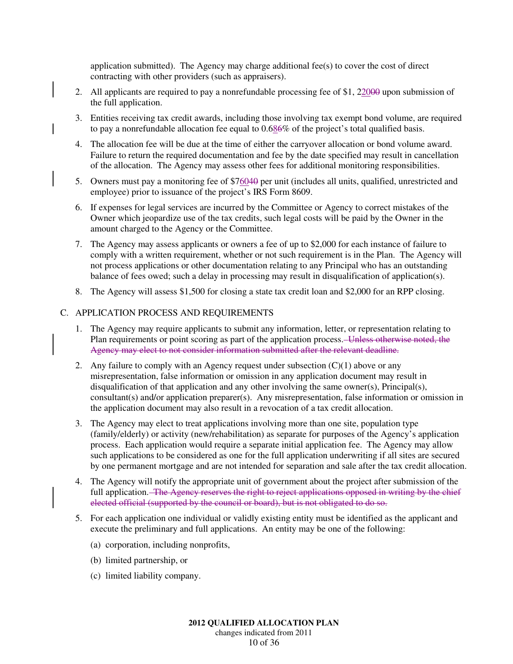application submitted). The Agency may charge additional fee(s) to cover the cost of direct contracting with other providers (such as appraisers).

- 2. All applicants are required to pay a nonrefundable processing fee of \$1, 22000 upon submission of the full application.
- 3. Entities receiving tax credit awards, including those involving tax exempt bond volume, are required to pay a nonrefundable allocation fee equal to  $0.686\%$  of the project's total qualified basis.
- 4. The allocation fee will be due at the time of either the carryover allocation or bond volume award. Failure to return the required documentation and fee by the date specified may result in cancellation of the allocation. The Agency may assess other fees for additional monitoring responsibilities.
- 5. Owners must pay a monitoring fee of \$76040 per unit (includes all units, qualified, unrestricted and employee) prior to issuance of the project's IRS Form 8609.
- 6. If expenses for legal services are incurred by the Committee or Agency to correct mistakes of the Owner which jeopardize use of the tax credits, such legal costs will be paid by the Owner in the amount charged to the Agency or the Committee.
- 7. The Agency may assess applicants or owners a fee of up to \$2,000 for each instance of failure to comply with a written requirement, whether or not such requirement is in the Plan. The Agency will not process applications or other documentation relating to any Principal who has an outstanding balance of fees owed; such a delay in processing may result in disqualification of application(s).
- 8. The Agency will assess \$1,500 for closing a state tax credit loan and \$2,000 for an RPP closing.

# C. APPLICATION PROCESS AND REQUIREMENTS

- 1. The Agency may require applicants to submit any information, letter, or representation relating to Plan requirements or point scoring as part of the application process. Unless otherwise noted, the Agency may elect to not consider information submitted after the relevant deadline.
- 2. Any failure to comply with an Agency request under subsection  $(C)(1)$  above or any misrepresentation, false information or omission in any application document may result in disqualification of that application and any other involving the same owner(s), Principal(s), consultant(s) and/or application preparer(s). Any misrepresentation, false information or omission in the application document may also result in a revocation of a tax credit allocation.
- 3. The Agency may elect to treat applications involving more than one site, population type (family/elderly) or activity (new/rehabilitation) as separate for purposes of the Agency's application process. Each application would require a separate initial application fee. The Agency may allow such applications to be considered as one for the full application underwriting if all sites are secured by one permanent mortgage and are not intended for separation and sale after the tax credit allocation.
- 4. The Agency will notify the appropriate unit of government about the project after submission of the full application. The Agency reserves the right to reject applications opposed in writing by the chief elected official (supported by the council or board), but is not obligated to do so.
- 5. For each application one individual or validly existing entity must be identified as the applicant and execute the preliminary and full applications. An entity may be one of the following:
	- (a) corporation, including nonprofits,
	- (b) limited partnership, or
	- (c) limited liability company.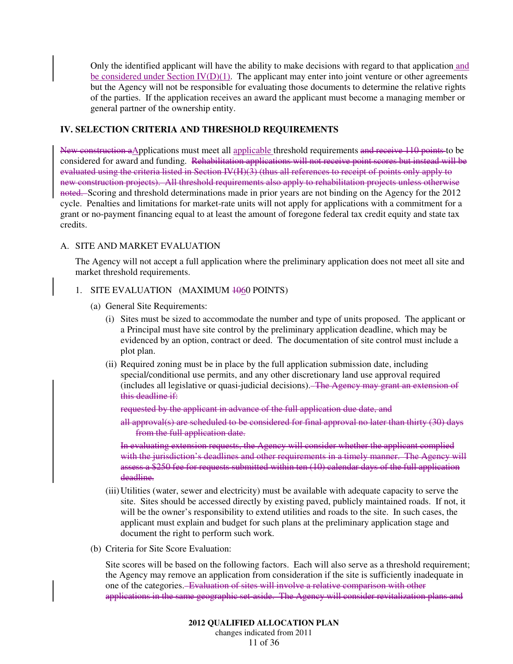Only the identified applicant will have the ability to make decisions with regard to that application and be considered under Section  $\text{IV}(D)(1)$ . The applicant may enter into joint venture or other agreements but the Agency will not be responsible for evaluating those documents to determine the relative rights of the parties. If the application receives an award the applicant must become a managing member or general partner of the ownership entity.

# **IV. SELECTION CRITERIA AND THRESHOLD REQUIREMENTS**

New construction aApplications must meet all applicable threshold requirements and receive 110 points to be considered for award and funding. Rehabilitation applications will not receive point scores but instead will be evaluated using the criteria listed in Section IV(H)(3) (thus all references to receipt of points only apply to new construction projects). All threshold requirements also apply to rehabilitation projects unless otherwise noted. Scoring and threshold determinations made in prior years are not binding on the Agency for the 2012 cycle. Penalties and limitations for market-rate units will not apply for applications with a commitment for a grant or no-payment financing equal to at least the amount of foregone federal tax credit equity and state tax credits.

# A. SITE AND MARKET EVALUATION

The Agency will not accept a full application where the preliminary application does not meet all site and market threshold requirements.

# 1. SITE EVALUATION (MAXIMUM  $1000$  POINTS)

- (a) General Site Requirements:
	- (i) Sites must be sized to accommodate the number and type of units proposed. The applicant or a Principal must have site control by the preliminary application deadline, which may be evidenced by an option, contract or deed. The documentation of site control must include a plot plan.
	- (ii) Required zoning must be in place by the full application submission date, including special/conditional use permits, and any other discretionary land use approval required (includes all legislative or quasi-judicial decisions). The Agency may grant an extension of this deadline if:

requested by the applicant in advance of the full application due date, and

all approval(s) are scheduled to be considered for final approval no later than thirty (30) days from the full application date.

In evaluating extension requests, the Agency will consider whether the applicant complied with the jurisdiction's deadlines and other requirements in a timely manner. The Agency will assess a \$250 fee for requests submitted within ten (10) calendar days of the full application deadline.

- (iii) Utilities (water, sewer and electricity) must be available with adequate capacity to serve the site. Sites should be accessed directly by existing paved, publicly maintained roads. If not, it will be the owner's responsibility to extend utilities and roads to the site. In such cases, the applicant must explain and budget for such plans at the preliminary application stage and document the right to perform such work.
- (b) Criteria for Site Score Evaluation:

Site scores will be based on the following factors. Each will also serve as a threshold requirement; the Agency may remove an application from consideration if the site is sufficiently inadequate in one of the categories. Evaluation of sites will involve a relative comparison with other applications in the same geographic set-aside. The Agency will consider revitalization plans and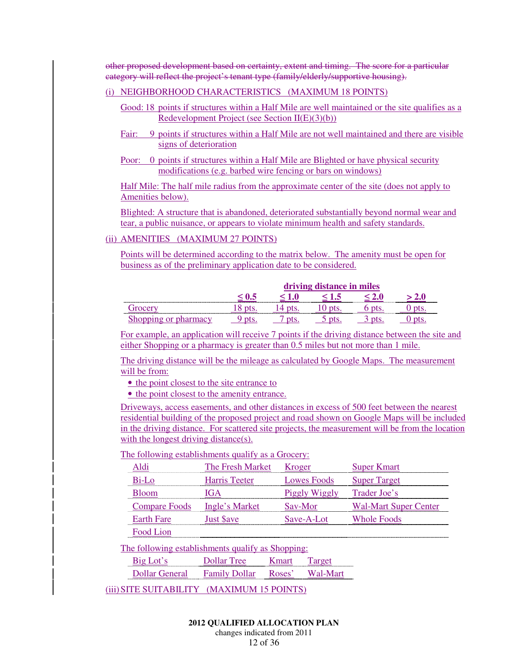other proposed development based on certainty, extent and timing. The score for a particular category will reflect the project's tenant type (family/elderly/supportive housing).

# (i) NEIGHBORHOOD CHARACTERISTICS (MAXIMUM 18 POINTS)

- Good: 18 points if structures within a Half Mile are well maintained or the site qualifies as a Redevelopment Project (see Section  $II(E)(3)(b)$ )
- Fair: 9 points if structures within a Half Mile are not well maintained and there are visible signs of deterioration
- Poor: 0 points if structures within a Half Mile are Blighted or have physical security modifications (e.g. barbed wire fencing or bars on windows)

Half Mile: The half mile radius from the approximate center of the site (does not apply to Amenities below).

Blighted: A structure that is abandoned, deteriorated substantially beyond normal wear and tear, a public nuisance, or appears to violate minimum health and safety standards.

# (ii) AMENITIES (MAXIMUM 27 POINTS)

Points will be determined according to the matrix below. The amenity must be open for business as of the preliminary application date to be considered.

|                                             | driving distance in miles                |  |  |  |  |
|---------------------------------------------|------------------------------------------|--|--|--|--|
| -----------------------<br>---------------- | <b><i><u>ARABASAN MARTIN DI </u></i></b> |  |  |  |  |
|                                             | .<br>----------------                    |  |  |  |  |
|                                             |                                          |  |  |  |  |

For example, an application will receive 7 points if the driving distance between the site and either Shopping or a pharmacy is greater than 0.5 miles but not more than 1 mile.

The driving distance will be the mileage as calculated by Google Maps. The measurement will be from:

• the point closest to the site entrance to

• the point closest to the amenity entrance.

Driveways, access easements, and other distances in excess of 500 feet between the nearest residential building of the proposed project and road shown on Google Maps will be included in the driving distance. For scattered site projects, the measurement will be from the location with the longest driving distance(s).

#### The following establishments qualify as a Grocery:

|                                                                                                          | The Fresh Market | Kroger             |             | per Kmart                    |  |  |  |
|----------------------------------------------------------------------------------------------------------|------------------|--------------------|-------------|------------------------------|--|--|--|
|                                                                                                          | Harris Teeter    |                    | Lowes Foods | Super Target                 |  |  |  |
|                                                                                                          |                  |                    |             | Trader Joe's                 |  |  |  |
| Compare Foods Ingle's Market                                                                             |                  |                    |             | <b>Wal-Mart Super Center</b> |  |  |  |
| <b>Earth Fare</b>                                                                                        |                  |                    |             | Whole Foods                  |  |  |  |
| Food Lion                                                                                                |                  |                    |             |                              |  |  |  |
| The following establishments qualify as Shopping:                                                        |                  |                    |             |                              |  |  |  |
| Big Lot's                                                                                                | Dollar Tree      | <b>K</b> mart      | Target      |                              |  |  |  |
| Dollar General Family Dollar                                                                             |                  | Roses <sup>?</sup> |             |                              |  |  |  |
| $\alpha$ ier $\alpha$ i iige a dat jerv $\ell$ - $\alpha$ (a a vin (ii) $\ell$ + $\epsilon$ -do in ights |                  |                    |             |                              |  |  |  |

(iii) SITE SUITABILITY (MAXIMUM 15 POINTS)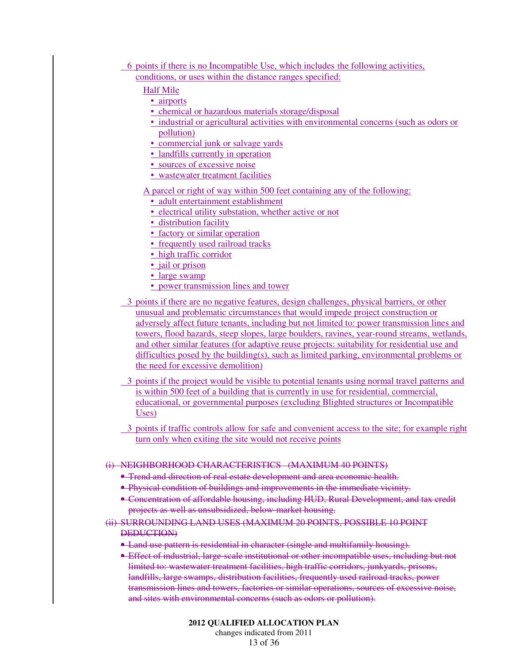- 6 points if there is no Incompatible Use, which includes the following activities, conditions, or uses within the distance ranges specified:
	- Half Mile
		- airports
		- chemical or hazardous materials storage/disposal
		- industrial or agricultural activities with environmental concerns (such as odors or pollution)
		- commercial junk or salvage yards
		- landfills currently in operation
		- sources of excessive noise
		- wastewater treatment facilities
	- A parcel or right of way within 500 feet containing any of the following:
		- adult entertainment establishment
		- electrical utility substation, whether active or not
		- distribution facility
		- factory or similar operation
		- frequently used railroad tracks
		- high traffic corridor
		- jail or prison
		- large swamp
		- power transmission lines and tower
- 3 points if there are no negative features, design challenges, physical barriers, or other unusual and problematic circumstances that would impede project construction or adversely affect future tenants, including but not limited to: power transmission lines and towers, flood hazards, steep slopes, large boulders, ravines, year-round streams, wetlands, and other similar features (for adaptive reuse projects: suitability for residential use and difficulties posed by the building(s), such as limited parking, environmental problems or the need for excessive demolition)
- 3 points if the project would be visible to potential tenants using normal travel patterns and is within 500 feet of a building that is currently in use for residential, commercial, educational, or governmental purposes (excluding Blighted structures or Incompatible Uses)
- 3 points if traffic controls allow for safe and convenient access to the site; for example right turn only when exiting the site would not receive points

### (i) NEIGHBORHOOD CHARACTERISTICS (MAXIMUM 40 POINTS)

- Trend and direction of real estate development and area economic health.
- Physical condition of buildings and improvements in the immediate vicinity.
- Concentration of affordable housing, including HUD, Rural Development, and tax credit projects as well as unsubsidized, below-market housing.
- (ii) SURROUNDING LAND USES (MAXIMUM 20 POINTS, POSSIBLE 10 POINT DEDUCTION)
	- Land use pattern is residential in character (single and multifamily housing).
	- Effect of industrial, large-scale institutional or other incompatible uses, including but not limited to: wastewater treatment facilities, high traffic corridors, junkyards, prisons, landfills, large swamps, distribution facilities, frequently used railroad tracks, power transmission lines and towers, factories or similar operations, sources of excessive noise, and sites with environmental concerns (such as odors or pollution).

**2012 QUALIFIED ALLOCATION PLAN**  changes indicated from 2011 13 of 36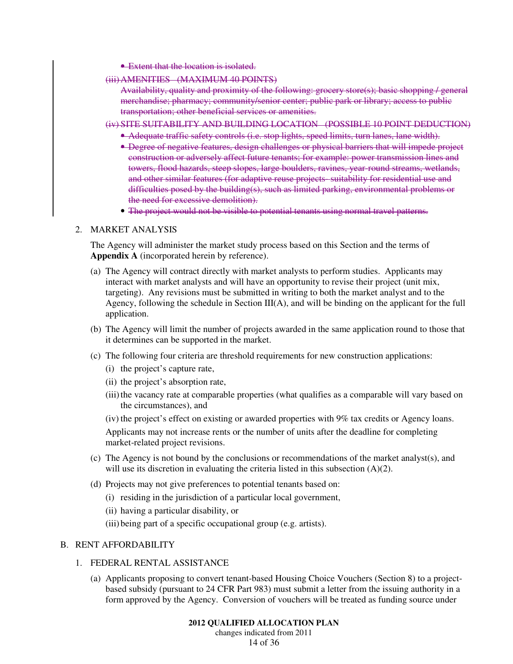- Extent that the location is isolated.
- (iii)AMENITIES (MAXIMUM 40 POINTS)
	- Availability, quality and proximity of the following: grocery store(s); basic shopping / general merchandise; pharmacy; community/senior center; public park or library; access to public transportation; other beneficial services or amenities.
- (iv) SITE SUITABILITY AND BUILDING LOCATION (POSSIBLE 10 POINT DEDUCTION)
	- Adequate traffic safety controls (i.e. stop lights, speed limits, turn lanes, lane width).
	- Degree of negative features, design challenges or physical barriers that will impede project construction or adversely affect future tenants; for example: power transmission lines and towers, flood hazards, steep slopes, large boulders, ravines, year-round streams, wetlands, and other similar features (for adaptive reuse projects- suitability for residential use and difficulties posed by the building(s), such as limited parking, environmental problems or the need for excessive demolition).
	- The project would not be visible to potential tenants using normal travel patterns.

#### 2. MARKET ANALYSIS

The Agency will administer the market study process based on this Section and the terms of **Appendix A** (incorporated herein by reference).

- (a) The Agency will contract directly with market analysts to perform studies. Applicants may interact with market analysts and will have an opportunity to revise their project (unit mix, targeting). Any revisions must be submitted in writing to both the market analyst and to the Agency, following the schedule in Section III(A), and will be binding on the applicant for the full application.
- (b) The Agency will limit the number of projects awarded in the same application round to those that it determines can be supported in the market.
- (c) The following four criteria are threshold requirements for new construction applications:
	- (i) the project's capture rate,
	- (ii) the project's absorption rate,
	- (iii) the vacancy rate at comparable properties (what qualifies as a comparable will vary based on the circumstances), and
	- (iv) the project's effect on existing or awarded properties with 9% tax credits or Agency loans.

Applicants may not increase rents or the number of units after the deadline for completing market-related project revisions.

- (c) The Agency is not bound by the conclusions or recommendations of the market analyst(s), and will use its discretion in evaluating the criteria listed in this subsection (A)(2).
- (d) Projects may not give preferences to potential tenants based on:
	- (i) residing in the jurisdiction of a particular local government,
	- (ii) having a particular disability, or
	- (iii) being part of a specific occupational group (e.g. artists).

#### B. RENT AFFORDABILITY

- 1. FEDERAL RENTAL ASSISTANCE
	- (a) Applicants proposing to convert tenant-based Housing Choice Vouchers (Section 8) to a projectbased subsidy (pursuant to 24 CFR Part 983) must submit a letter from the issuing authority in a form approved by the Agency. Conversion of vouchers will be treated as funding source under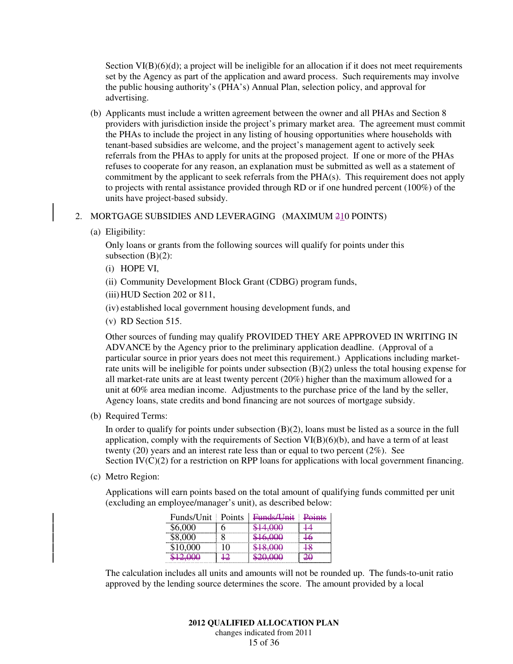Section  $VI(B)(6)(d)$ ; a project will be ineligible for an allocation if it does not meet requirements set by the Agency as part of the application and award process. Such requirements may involve the public housing authority's (PHA's) Annual Plan, selection policy, and approval for advertising.

(b) Applicants must include a written agreement between the owner and all PHAs and Section 8 providers with jurisdiction inside the project's primary market area. The agreement must commit the PHAs to include the project in any listing of housing opportunities where households with tenant-based subsidies are welcome, and the project's management agent to actively seek referrals from the PHAs to apply for units at the proposed project. If one or more of the PHAs refuses to cooperate for any reason, an explanation must be submitted as well as a statement of commitment by the applicant to seek referrals from the PHA(s). This requirement does not apply to projects with rental assistance provided through RD or if one hundred percent (100%) of the units have project-based subsidy.

#### 2. MORTGAGE SUBSIDIES AND LEVERAGING (MAXIMUM 210 POINTS)

(a) Eligibility:

Only loans or grants from the following sources will qualify for points under this subsection  $(B)(2)$ :

- (i) HOPE VI,
- (ii) Community Development Block Grant (CDBG) program funds,
- (iii) HUD Section 202 or 811,
- (iv) established local government housing development funds, and
- (v) RD Section 515.

Other sources of funding may qualify PROVIDED THEY ARE APPROVED IN WRITING IN ADVANCE by the Agency prior to the preliminary application deadline. (Approval of a particular source in prior years does not meet this requirement.) Applications including marketrate units will be ineligible for points under subsection (B)(2) unless the total housing expense for all market-rate units are at least twenty percent (20%) higher than the maximum allowed for a unit at 60% area median income. Adjustments to the purchase price of the land by the seller, Agency loans, state credits and bond financing are not sources of mortgage subsidy.

(b) Required Terms:

In order to qualify for points under subsection (B)(2), loans must be listed as a source in the full application, comply with the requirements of Section  $VI(B)(6)(b)$ , and have a term of at least twenty (20) years and an interest rate less than or equal to two percent (2%). See Section  $IV(C)(2)$  for a restriction on RPP loans for applications with local government financing.

(c) Metro Region:

Applications will earn points based on the total amount of qualifying funds committed per unit (excluding an employee/manager's unit), as described below:

| Funds/Unit Points | <del>Funds/Unit</del> | Points |
|-------------------|-----------------------|--------|
| $6{,}000$         | <del>\$14,000</del>   |        |
|                   | <del>16,000</del>     |        |
|                   | \$18,000              |        |
|                   | ഥഥ                    |        |

The calculation includes all units and amounts will not be rounded up. The funds-to-unit ratio approved by the lending source determines the score. The amount provided by a local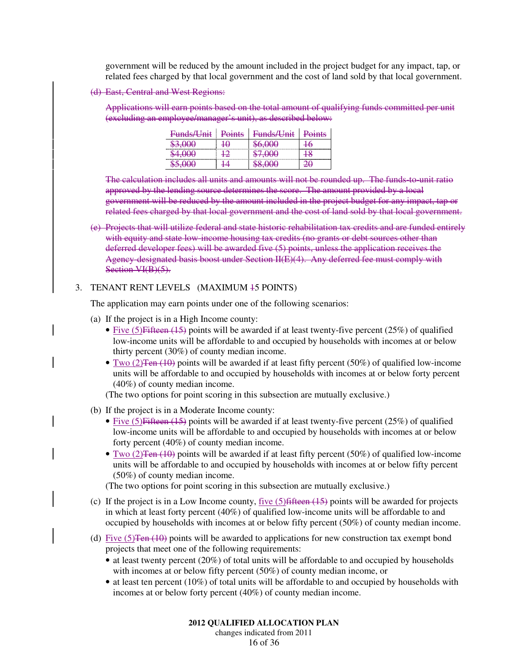government will be reduced by the amount included in the project budget for any impact, tap, or related fees charged by that local government and the cost of land sold by that local government.

(d) East, Central and West Regions:

Applications will earn points based on the total amount of qualifying funds committed per unit (excluding an employee/manager's unit), as described below:

| Funds/Unit | Points | Funds/Unit | Jointe<br>viiits |
|------------|--------|------------|------------------|
|            |        |            |                  |
|            |        |            |                  |
|            |        |            |                  |

The calculation includes all units and amounts will not be rounded up. The funds-to-unit ratio approved by the lending source determines the score. The amount provided by a local government will be reduced by the amount included in the project budget for any impact, tap or related fees charged by that local government and the cost of land sold by that local government.

(e) Projects that will utilize federal and state historic rehabilitation tax credits and are funded entirely with equity and state low-income housing tax credits (no grants or debt sources other than deferred developer fees) will be awarded five (5) points, unless the application receives the Agency-designated basis boost under Section II(E)(4). Any deferred fee must comply with Section VI(B)(5).

#### 3. TENANT RENT LEVELS (MAXIMUM 15 POINTS)

The application may earn points under one of the following scenarios:

- (a) If the project is in a High Income county:
	- Five  $(5)$  Fifteen  $(15)$  points will be awarded if at least twenty-five percent  $(25%)$  of qualified low-income units will be affordable to and occupied by households with incomes at or below thirty percent (30%) of county median income.
	- Two (2) Ten (10) points will be awarded if at least fifty percent (50%) of qualified low-income units will be affordable to and occupied by households with incomes at or below forty percent (40%) of county median income.

(The two options for point scoring in this subsection are mutually exclusive.)

- (b) If the project is in a Moderate Income county:
	- Five  $(5)$  Fifteen  $(15)$  points will be awarded if at least twenty-five percent  $(25%)$  of qualified low-income units will be affordable to and occupied by households with incomes at or below forty percent (40%) of county median income.
	- Two (2) Ten (10) points will be awarded if at least fifty percent (50%) of qualified low-income units will be affordable to and occupied by households with incomes at or below fifty percent (50%) of county median income.

(The two options for point scoring in this subsection are mutually exclusive.)

- (c) If the project is in a Low Income county, five  $(5)$  fifteen  $(15)$  points will be awarded for projects in which at least forty percent (40%) of qualified low-income units will be affordable to and occupied by households with incomes at or below fifty percent (50%) of county median income.
- (d) Five  $(5)$ Ten  $(10)$  points will be awarded to applications for new construction tax exempt bond projects that meet one of the following requirements:
	- at least twenty percent (20%) of total units will be affordable to and occupied by households with incomes at or below fifty percent (50%) of county median income, or
	- at least ten percent (10%) of total units will be affordable to and occupied by households with incomes at or below forty percent (40%) of county median income.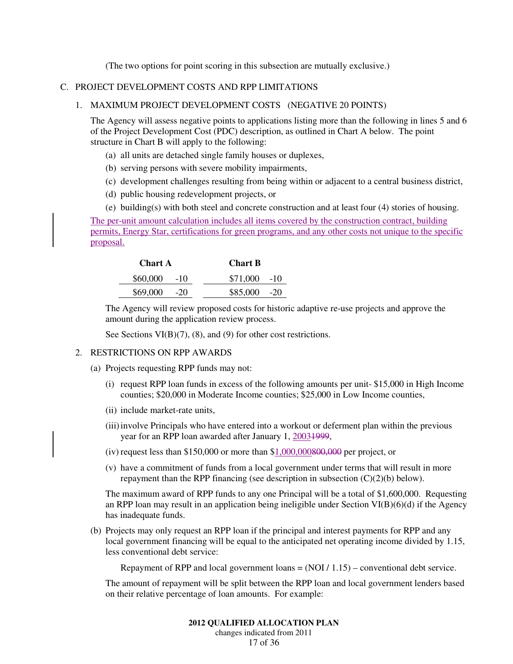(The two options for point scoring in this subsection are mutually exclusive.)

#### C. PROJECT DEVELOPMENT COSTS AND RPP LIMITATIONS

#### 1. MAXIMUM PROJECT DEVELOPMENT COSTS (NEGATIVE 20 POINTS)

The Agency will assess negative points to applications listing more than the following in lines 5 and 6 of the Project Development Cost (PDC) description, as outlined in Chart A below. The point structure in Chart B will apply to the following:

- (a) all units are detached single family houses or duplexes,
- (b) serving persons with severe mobility impairments,
- (c) development challenges resulting from being within or adjacent to a central business district,
- (d) public housing redevelopment projects, or
- (e) building(s) with both steel and concrete construction and at least four (4) stories of housing.

The per-unit amount calculation includes all items covered by the construction contract, building permits, Energy Star, certifications for green programs, and any other costs not unique to the specific proposal.

| <b>Chart A</b>    | <b>Chart B</b> |
|-------------------|----------------|
| \$60,000<br>$-10$ | $$71,000$ -10  |
| \$69,000<br>$-20$ | $$85,000$ -20  |

The Agency will review proposed costs for historic adaptive re-use projects and approve the amount during the application review process.

See Sections VI(B)(7), (8), and (9) for other cost restrictions.

#### 2. RESTRICTIONS ON RPP AWARDS

- (a) Projects requesting RPP funds may not:
	- (i) request RPP loan funds in excess of the following amounts per unit- \$15,000 in High Income counties; \$20,000 in Moderate Income counties; \$25,000 in Low Income counties,
	- (ii) include market-rate units,
	- (iii) involve Principals who have entered into a workout or deferment plan within the previous year for an RPP loan awarded after January 1, 20031999,
	- (iv) request less than \$150,000 or more than  $$1,000,000800,000$  per project, or
	- (v) have a commitment of funds from a local government under terms that will result in more repayment than the RPP financing (see description in subsection  $(C)(2)(b)$  below).

The maximum award of RPP funds to any one Principal will be a total of \$1,600,000. Requesting an RPP loan may result in an application being ineligible under Section VI(B)(6)(d) if the Agency has inadequate funds.

(b) Projects may only request an RPP loan if the principal and interest payments for RPP and any local government financing will be equal to the anticipated net operating income divided by 1.15, less conventional debt service:

Repayment of RPP and local government loans  $= (NOI / 1.15)$  – conventional debt service.

The amount of repayment will be split between the RPP loan and local government lenders based on their relative percentage of loan amounts. For example: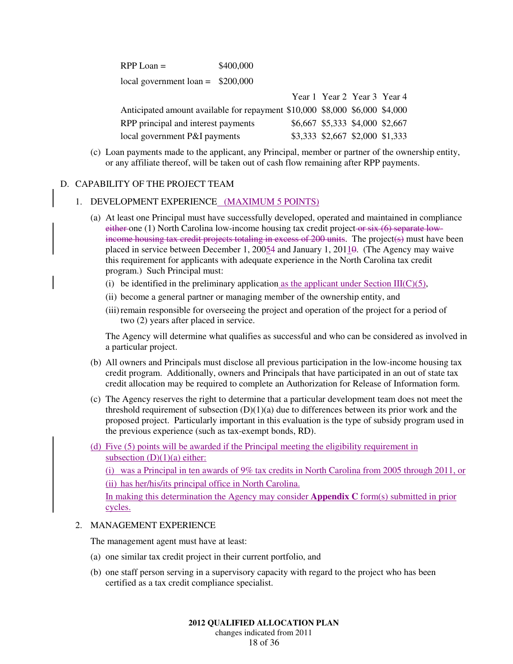| $RPP$ Loan $=$                     | \$400,000 |
|------------------------------------|-----------|
| local government loan = $$200,000$ |           |
|                                    |           |

|                                                                             | $1$ Call $1$ Cal $2$ $1$ Cal $3$ $1$ Cal $7$ |  |
|-----------------------------------------------------------------------------|----------------------------------------------|--|
| Anticipated amount available for repayment \$10,000 \$8,000 \$6,000 \$4,000 |                                              |  |
| RPP principal and interest payments                                         | \$6,667 \$5,333 \$4,000 \$2,667              |  |
| local government P&I payments                                               | \$3,333 \$2,667 \$2,000 \$1,333              |  |

(c) Loan payments made to the applicant, any Principal, member or partner of the ownership entity, or any affiliate thereof, will be taken out of cash flow remaining after RPP payments.

 $V_{\text{corr}}$  1  $V_{\text{corr}}$  2  $V_{\text{corr}}$  4  $V_{\text{corr}}$  4

#### D. CAPABILITY OF THE PROJECT TEAM

#### 1. DEVELOPMENT EXPERIENCE (MAXIMUM 5 POINTS)

- (a) At least one Principal must have successfully developed, operated and maintained in compliance either one  $(1)$  North Carolina low-income housing tax credit project or  $s$ ix  $(6)$  separate lowincome housing tax credit projects totaling in excess of 200 units. The project(s) must have been placed in service between December 1, 20054 and January 1, 20110. (The Agency may waive this requirement for applicants with adequate experience in the North Carolina tax credit program.) Such Principal must:
	- (i) be identified in the preliminary application as the applicant under Section III( $C$ )(5),
	- (ii) become a general partner or managing member of the ownership entity, and
	- (iii) remain responsible for overseeing the project and operation of the project for a period of two (2) years after placed in service.

The Agency will determine what qualifies as successful and who can be considered as involved in a particular project.

- (b) All owners and Principals must disclose all previous participation in the low-income housing tax credit program. Additionally, owners and Principals that have participated in an out of state tax credit allocation may be required to complete an Authorization for Release of Information form.
- (c) The Agency reserves the right to determine that a particular development team does not meet the threshold requirement of subsection (D)(1)(a) due to differences between its prior work and the proposed project. Particularly important in this evaluation is the type of subsidy program used in the previous experience (such as tax-exempt bonds, RD).
- (d) Five (5) points will be awarded if the Principal meeting the eligibility requirement in subsection  $(D)(1)(a)$  either:

(i) was a Principal in ten awards of 9% tax credits in North Carolina from 2005 through 2011, or (ii) has her/his/its principal office in North Carolina.

In making this determination the Agency may consider **Appendix C** form(s) submitted in prior cycles.

# 2. MANAGEMENT EXPERIENCE

The management agent must have at least:

- (a) one similar tax credit project in their current portfolio, and
- (b) one staff person serving in a supervisory capacity with regard to the project who has been certified as a tax credit compliance specialist.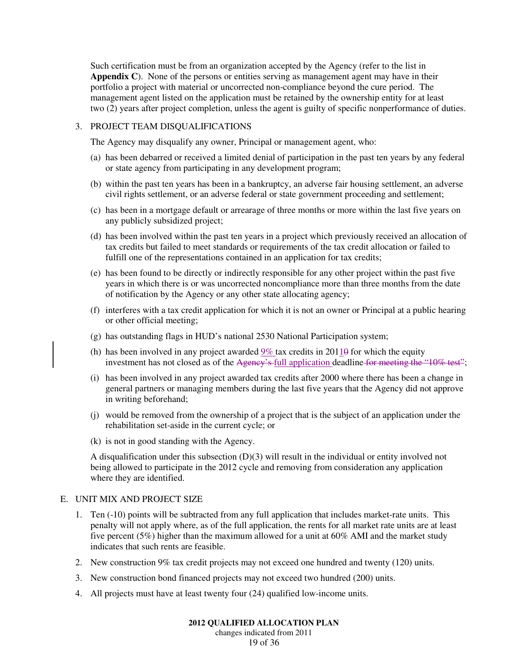Such certification must be from an organization accepted by the Agency (refer to the list in **Appendix C**). None of the persons or entities serving as management agent may have in their portfolio a project with material or uncorrected non-compliance beyond the cure period. The management agent listed on the application must be retained by the ownership entity for at least two (2) years after project completion, unless the agent is guilty of specific nonperformance of duties.

#### 3. PROJECT TEAM DISQUALIFICATIONS

The Agency may disqualify any owner, Principal or management agent, who:

- (a) has been debarred or received a limited denial of participation in the past ten years by any federal or state agency from participating in any development program;
- (b) within the past ten years has been in a bankruptcy, an adverse fair housing settlement, an adverse civil rights settlement, or an adverse federal or state government proceeding and settlement;
- (c) has been in a mortgage default or arrearage of three months or more within the last five years on any publicly subsidized project;
- (d) has been involved within the past ten years in a project which previously received an allocation of tax credits but failed to meet standards or requirements of the tax credit allocation or failed to fulfill one of the representations contained in an application for tax credits;
- (e) has been found to be directly or indirectly responsible for any other project within the past five years in which there is or was uncorrected noncompliance more than three months from the date of notification by the Agency or any other state allocating agency;
- (f) interferes with a tax credit application for which it is not an owner or Principal at a public hearing or other official meeting;
- (g) has outstanding flags in HUD's national 2530 National Participation system;
- (h) has been involved in any project awarded  $9\%$  tax credits in 2011 $\theta$  for which the equity investment has not closed as of the Agency's full application deadline for meeting the "10% test";
- (i) has been involved in any project awarded tax credits after 2000 where there has been a change in general partners or managing members during the last five years that the Agency did not approve in writing beforehand;
- (j) would be removed from the ownership of a project that is the subject of an application under the rehabilitation set-aside in the current cycle; or
- (k) is not in good standing with the Agency.

A disqualification under this subsection (D)(3) will result in the individual or entity involved not being allowed to participate in the 2012 cycle and removing from consideration any application where they are identified.

#### E. UNIT MIX AND PROJECT SIZE

- 1. Ten (-10) points will be subtracted from any full application that includes market-rate units. This penalty will not apply where, as of the full application, the rents for all market rate units are at least five percent (5%) higher than the maximum allowed for a unit at 60% AMI and the market study indicates that such rents are feasible.
- 2. New construction 9% tax credit projects may not exceed one hundred and twenty (120) units.
- 3. New construction bond financed projects may not exceed two hundred (200) units.
- 4. All projects must have at least twenty four (24) qualified low-income units.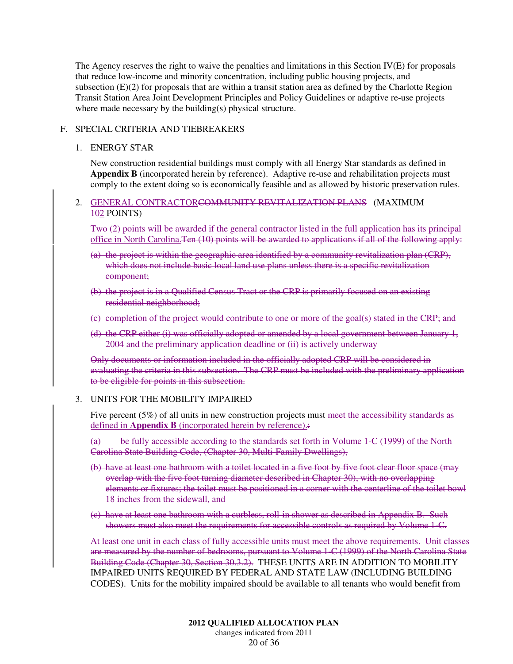The Agency reserves the right to waive the penalties and limitations in this Section IV(E) for proposals that reduce low-income and minority concentration, including public housing projects, and subsection (E)(2) for proposals that are within a transit station area as defined by the Charlotte Region Transit Station Area Joint Development Principles and Policy Guidelines or adaptive re-use projects where made necessary by the building(s) physical structure.

# F. SPECIAL CRITERIA AND TIEBREAKERS

#### 1. ENERGY STAR

New construction residential buildings must comply with all Energy Star standards as defined in **Appendix B** (incorporated herein by reference). Adaptive re-use and rehabilitation projects must comply to the extent doing so is economically feasible and as allowed by historic preservation rules.

# 2. GENERAL CONTRACTORCOMMUNITY REVITALIZATION PLANS (MAXIMUM  $102$  POINTS)

Two (2) points will be awarded if the general contractor listed in the full application has its principal office in North Carolina.Ten (10) points will be awarded to applications if all of the following apply:

- (a) the project is within the geographic area identified by a community revitalization plan (CRP), which does not include basic local land use plans unless there is a specific revitalization component;
- (b) the project is in a Qualified Census Tract or the CRP is primarily focused on an existing residential neighborhood;
- (c) completion of the project would contribute to one or more of the goal(s) stated in the CRP; and
- (d) the CRP either (i) was officially adopted or amended by a local government between January 1, 2004 and the preliminary application deadline or (ii) is actively underway

Only documents or information included in the officially adopted CRP will be considered in evaluating the criteria in this subsection. The CRP must be included with the preliminary application to be eligible for points in this subsection.

#### 3. UNITS FOR THE MOBILITY IMPAIRED

Five percent (5%) of all units in new construction projects must meet the accessibility standards as defined in **Appendix B** (incorporated herein by reference).:

be fully accessible according to the standards set forth in Volume 1-C (1999) of the North Carolina State Building Code, (Chapter 30, Multi-Family Dwellings),

- (b) have at least one bathroom with a toilet located in a five foot by five foot clear floor space (may overlap with the five foot turning diameter described in Chapter 30), with no overlapping elements or fixtures; the toilet must be positioned in a corner with the centerline of the toilet bowl 18 inches from the sidewall, and
- (c) have at least one bathroom with a curbless, roll-in shower as described in Appendix B. Such showers must also meet the requirements for accessible controls as required by Volume 1-C.

At least one unit in each class of fully accessible units must meet the above requirements. Unit classes are measured by the number of bedrooms, pursuant to Volume 1-C (1999) of the North Carolina State Building Code (Chapter 30, Section 30.3.2). THESE UNITS ARE IN ADDITION TO MOBILITY IMPAIRED UNITS REQUIRED BY FEDERAL AND STATE LAW (INCLUDING BUILDING CODES). Units for the mobility impaired should be available to all tenants who would benefit from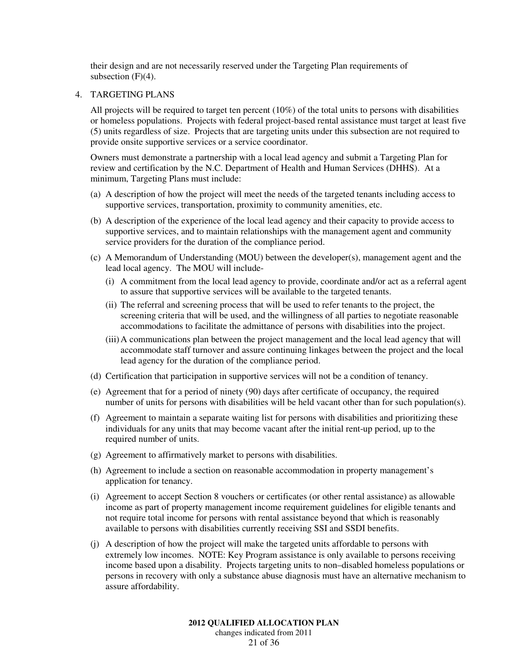their design and are not necessarily reserved under the Targeting Plan requirements of subsection  $(F)(4)$ .

#### 4. TARGETING PLANS

All projects will be required to target ten percent (10%) of the total units to persons with disabilities or homeless populations. Projects with federal project-based rental assistance must target at least five (5) units regardless of size. Projects that are targeting units under this subsection are not required to provide onsite supportive services or a service coordinator.

Owners must demonstrate a partnership with a local lead agency and submit a Targeting Plan for review and certification by the N.C. Department of Health and Human Services (DHHS). At a minimum, Targeting Plans must include:

- (a) A description of how the project will meet the needs of the targeted tenants including access to supportive services, transportation, proximity to community amenities, etc.
- (b) A description of the experience of the local lead agency and their capacity to provide access to supportive services, and to maintain relationships with the management agent and community service providers for the duration of the compliance period.
- (c) A Memorandum of Understanding (MOU) between the developer(s), management agent and the lead local agency. The MOU will include-
	- (i) A commitment from the local lead agency to provide, coordinate and/or act as a referral agent to assure that supportive services will be available to the targeted tenants.
	- (ii) The referral and screening process that will be used to refer tenants to the project, the screening criteria that will be used, and the willingness of all parties to negotiate reasonable accommodations to facilitate the admittance of persons with disabilities into the project.
	- (iii) A communications plan between the project management and the local lead agency that will accommodate staff turnover and assure continuing linkages between the project and the local lead agency for the duration of the compliance period.
- (d) Certification that participation in supportive services will not be a condition of tenancy.
- (e) Agreement that for a period of ninety (90) days after certificate of occupancy, the required number of units for persons with disabilities will be held vacant other than for such population(s).
- (f) Agreement to maintain a separate waiting list for persons with disabilities and prioritizing these individuals for any units that may become vacant after the initial rent-up period, up to the required number of units.
- (g) Agreement to affirmatively market to persons with disabilities.
- (h) Agreement to include a section on reasonable accommodation in property management's application for tenancy.
- (i) Agreement to accept Section 8 vouchers or certificates (or other rental assistance) as allowable income as part of property management income requirement guidelines for eligible tenants and not require total income for persons with rental assistance beyond that which is reasonably available to persons with disabilities currently receiving SSI and SSDI benefits.
- (j) A description of how the project will make the targeted units affordable to persons with extremely low incomes. NOTE: Key Program assistance is only available to persons receiving income based upon a disability. Projects targeting units to non–disabled homeless populations or persons in recovery with only a substance abuse diagnosis must have an alternative mechanism to assure affordability.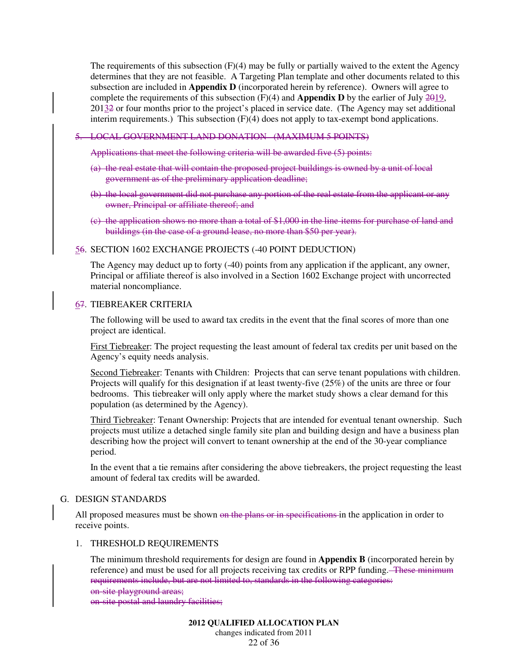The requirements of this subsection  $(F)(4)$  may be fully or partially waived to the extent the Agency determines that they are not feasible. A Targeting Plan template and other documents related to this subsection are included in **Appendix D** (incorporated herein by reference). Owners will agree to complete the requirements of this subsection (F)(4) and **Appendix D** by the earlier of July 2019, 20132 or four months prior to the project's placed in service date. (The Agency may set additional interim requirements.) This subsection (F)(4) does not apply to tax-exempt bond applications.

#### 5. LOCAL GOVERNMENT LAND DONATION (MAXIMUM 5 POINTS)

Applications that meet the following criteria will be awarded five (5) points:

- (a) the real estate that will contain the proposed project buildings is owned by a unit of local government as of the preliminary application deadline;
- (b) the local government did not purchase any portion of the real estate from the applicant or any owner, Principal or affiliate thereof; and
- (c) the application shows no more than a total of \$1,000 in the line-items for purchase of land and buildings (in the case of a ground lease, no more than \$50 per year).

### 56. SECTION 1602 EXCHANGE PROJECTS (-40 POINT DEDUCTION)

The Agency may deduct up to forty (-40) points from any application if the applicant, any owner, Principal or affiliate thereof is also involved in a Section 1602 Exchange project with uncorrected material noncompliance.

#### 67. TIEBREAKER CRITERIA

The following will be used to award tax credits in the event that the final scores of more than one project are identical.

First Tiebreaker: The project requesting the least amount of federal tax credits per unit based on the Agency's equity needs analysis.

Second Tiebreaker: Tenants with Children: Projects that can serve tenant populations with children. Projects will qualify for this designation if at least twenty-five (25%) of the units are three or four bedrooms. This tiebreaker will only apply where the market study shows a clear demand for this population (as determined by the Agency).

Third Tiebreaker: Tenant Ownership: Projects that are intended for eventual tenant ownership. Such projects must utilize a detached single family site plan and building design and have a business plan describing how the project will convert to tenant ownership at the end of the 30-year compliance period.

In the event that a tie remains after considering the above tiebreakers, the project requesting the least amount of federal tax credits will be awarded.

### G. DESIGN STANDARDS

All proposed measures must be shown on the plans or in specifications in the application in order to receive points.

#### 1. THRESHOLD REQUIREMENTS

The minimum threshold requirements for design are found in **Appendix B** (incorporated herein by reference) and must be used for all projects receiving tax credits or RPP funding.—These minimum requirements include, but are not limited to, standards in the following categories: on-site playground areas;

on-site postal and laundry facilities;

22 of 36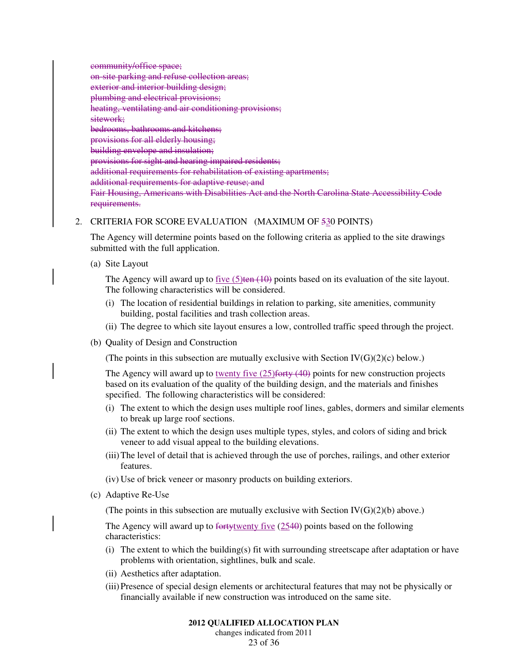community/office space; on-site parking and refuse collection areas; exterior and interior building design; plumbing and electrical provisions; heating, ventilating and air conditioning provisions; sitework; bedrooms, bathrooms and kitchens; provisions for all elderly housing; building envelope and insulation; provisions for sight and hearing impaired residents; additional requirements for rehabilitation of existing apartments; additional requirements for adaptive reuse; and Fair Housing, Americans with Disabilities Act and the North Carolina State Accessibility Code requirements.

# 2. CRITERIA FOR SCORE EVALUATION (MAXIMUM OF 530 POINTS)

The Agency will determine points based on the following criteria as applied to the site drawings submitted with the full application.

(a) Site Layout

The Agency will award up to  $five(5)$ ten  $(10)$  points based on its evaluation of the site layout. The following characteristics will be considered.

- (i) The location of residential buildings in relation to parking, site amenities, community building, postal facilities and trash collection areas.
- (ii) The degree to which site layout ensures a low, controlled traffic speed through the project.
- (b) Quality of Design and Construction

(The points in this subsection are mutually exclusive with Section  $IV(G)(2)(c)$  below.)

The Agency will award up to twenty five  $(25)$  forty  $(40)$  points for new construction projects based on its evaluation of the quality of the building design, and the materials and finishes specified. The following characteristics will be considered:

- (i) The extent to which the design uses multiple roof lines, gables, dormers and similar elements to break up large roof sections.
- (ii) The extent to which the design uses multiple types, styles, and colors of siding and brick veneer to add visual appeal to the building elevations.
- (iii) The level of detail that is achieved through the use of porches, railings, and other exterior features.
- (iv) Use of brick veneer or masonry products on building exteriors.
- (c) Adaptive Re-Use

(The points in this subsection are mutually exclusive with Section  $IV(G)(2)(b)$  above.)

The Agency will award up to  $f_{\text{or}}(2540)$  points based on the following characteristics:

- (i) The extent to which the building(s) fit with surrounding streetscape after adaptation or have problems with orientation, sightlines, bulk and scale.
- (ii) Aesthetics after adaptation.
- (iii) Presence of special design elements or architectural features that may not be physically or financially available if new construction was introduced on the same site.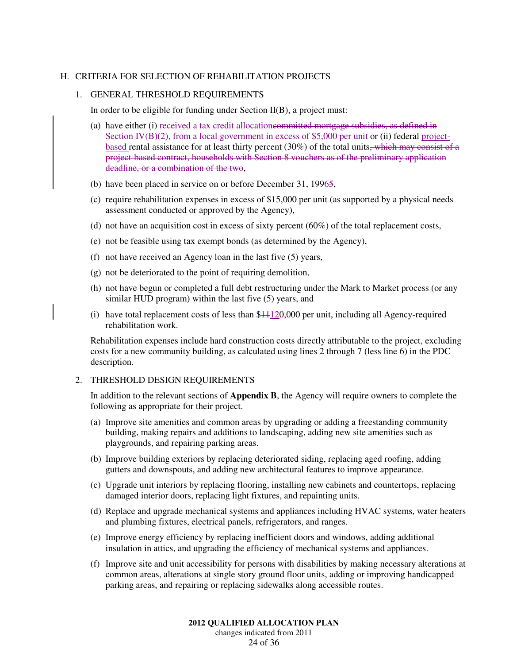#### H. CRITERIA FOR SELECTION OF REHABILITATION PROJECTS

#### 1. GENERAL THRESHOLD REQUIREMENTS

In order to be eligible for funding under Section II(B), a project must:

- (a) have either (i) received a tax credit allocationcommitted mortgage subsidies, as defined in Section IV(B)(2), from a local government in excess of \$5,000 per unit or (ii) federal projectbased rental assistance for at least thirty percent (30%) of the total units, which may consist of a project-based contract, households with Section 8 vouchers as of the preliminary application deadline, or a combination of the two,
- (b) have been placed in service on or before December 31, 19965,
- (c) require rehabilitation expenses in excess of \$15,000 per unit (as supported by a physical needs assessment conducted or approved by the Agency),
- (d) not have an acquisition cost in excess of sixty percent  $(60%)$  of the total replacement costs,
- (e) not be feasible using tax exempt bonds (as determined by the Agency),
- (f) not have received an Agency loan in the last five (5) years,
- (g) not be deteriorated to the point of requiring demolition,
- (h) not have begun or completed a full debt restructuring under the Mark to Market process (or any similar HUD program) within the last five (5) years, and
- (i) have total replacement costs of less than  $$41120,000$  per unit, including all Agency-required rehabilitation work.

Rehabilitation expenses include hard construction costs directly attributable to the project, excluding costs for a new community building, as calculated using lines 2 through 7 (less line 6) in the PDC description.

#### 2. THRESHOLD DESIGN REQUIREMENTS

In addition to the relevant sections of **Appendix B**, the Agency will require owners to complete the following as appropriate for their project.

- (a) Improve site amenities and common areas by upgrading or adding a freestanding community building, making repairs and additions to landscaping, adding new site amenities such as playgrounds, and repairing parking areas.
- (b) Improve building exteriors by replacing deteriorated siding, replacing aged roofing, adding gutters and downspouts, and adding new architectural features to improve appearance.
- (c) Upgrade unit interiors by replacing flooring, installing new cabinets and countertops, replacing damaged interior doors, replacing light fixtures, and repainting units.
- (d) Replace and upgrade mechanical systems and appliances including HVAC systems, water heaters and plumbing fixtures, electrical panels, refrigerators, and ranges.
- (e) Improve energy efficiency by replacing inefficient doors and windows, adding additional insulation in attics, and upgrading the efficiency of mechanical systems and appliances.
- (f) Improve site and unit accessibility for persons with disabilities by making necessary alterations at common areas, alterations at single story ground floor units, adding or improving handicapped parking areas, and repairing or replacing sidewalks along accessible routes.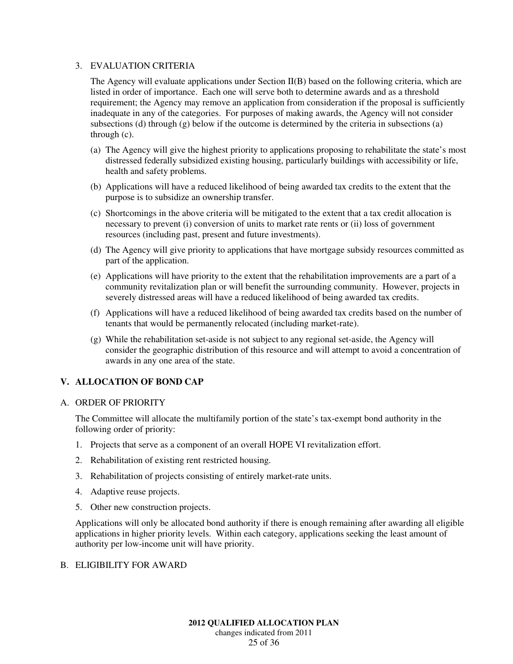### 3. EVALUATION CRITERIA

The Agency will evaluate applications under Section II(B) based on the following criteria, which are listed in order of importance. Each one will serve both to determine awards and as a threshold requirement; the Agency may remove an application from consideration if the proposal is sufficiently inadequate in any of the categories. For purposes of making awards, the Agency will not consider subsections (d) through  $(g)$  below if the outcome is determined by the criteria in subsections (a) through (c).

- (a) The Agency will give the highest priority to applications proposing to rehabilitate the state's most distressed federally subsidized existing housing, particularly buildings with accessibility or life, health and safety problems.
- (b) Applications will have a reduced likelihood of being awarded tax credits to the extent that the purpose is to subsidize an ownership transfer.
- (c) Shortcomings in the above criteria will be mitigated to the extent that a tax credit allocation is necessary to prevent (i) conversion of units to market rate rents or (ii) loss of government resources (including past, present and future investments).
- (d) The Agency will give priority to applications that have mortgage subsidy resources committed as part of the application.
- (e) Applications will have priority to the extent that the rehabilitation improvements are a part of a community revitalization plan or will benefit the surrounding community. However, projects in severely distressed areas will have a reduced likelihood of being awarded tax credits.
- (f) Applications will have a reduced likelihood of being awarded tax credits based on the number of tenants that would be permanently relocated (including market-rate).
- (g) While the rehabilitation set-aside is not subject to any regional set-aside, the Agency will consider the geographic distribution of this resource and will attempt to avoid a concentration of awards in any one area of the state.

# **V. ALLOCATION OF BOND CAP**

#### A. ORDER OF PRIORITY

The Committee will allocate the multifamily portion of the state's tax-exempt bond authority in the following order of priority:

- 1. Projects that serve as a component of an overall HOPE VI revitalization effort.
- 2. Rehabilitation of existing rent restricted housing.
- 3. Rehabilitation of projects consisting of entirely market-rate units.
- 4. Adaptive reuse projects.
- 5. Other new construction projects.

Applications will only be allocated bond authority if there is enough remaining after awarding all eligible applications in higher priority levels. Within each category, applications seeking the least amount of authority per low-income unit will have priority.

#### B. ELIGIBILITY FOR AWARD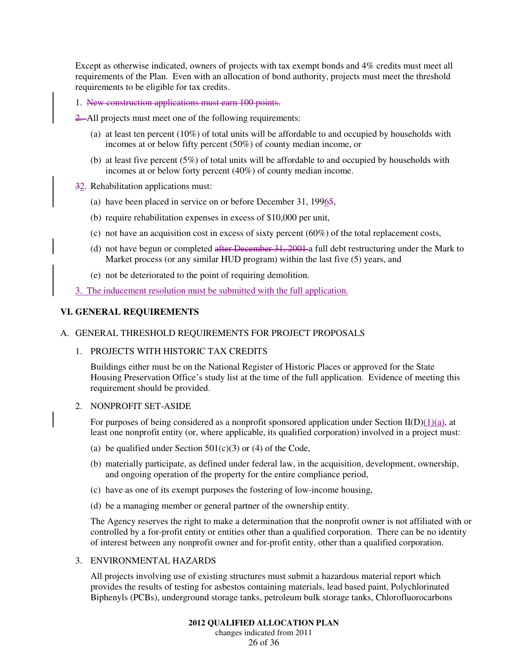Except as otherwise indicated, owners of projects with tax exempt bonds and 4% credits must meet all requirements of the Plan. Even with an allocation of bond authority, projects must meet the threshold requirements to be eligible for tax credits.

- 1. New construction applications must earn 100 points.
- 2. All projects must meet one of the following requirements:
	- (a) at least ten percent (10%) of total units will be affordable to and occupied by households with incomes at or below fifty percent (50%) of county median income, or
	- (b) at least five percent (5%) of total units will be affordable to and occupied by households with incomes at or below forty percent (40%) of county median income.
- 32. Rehabilitation applications must:
	- (a) have been placed in service on or before December 31, 19965,
	- (b) require rehabilitation expenses in excess of \$10,000 per unit,
	- (c) not have an acquisition cost in excess of sixty percent  $(60%)$  of the total replacement costs,
	- (d) not have begun or completed after December 31, 2001 a full debt restructuring under the Mark to Market process (or any similar HUD program) within the last five (5) years, and
	- (e) not be deteriorated to the point of requiring demolition.
- 3. The inducement resolution must be submitted with the full application.

# **VI. GENERAL REQUIREMENTS**

### A. GENERAL THRESHOLD REQUIREMENTS FOR PROJECT PROPOSALS

#### 1. PROJECTS WITH HISTORIC TAX CREDITS

Buildings either must be on the National Register of Historic Places or approved for the State Housing Preservation Office's study list at the time of the full application. Evidence of meeting this requirement should be provided.

#### 2. NONPROFIT SET-ASIDE

For purposes of being considered as a nonprofit sponsored application under Section II(D)(1)(a), at least one nonprofit entity (or, where applicable, its qualified corporation) involved in a project must:

- (a) be qualified under Section  $501(c)(3)$  or (4) of the Code,
- (b) materially participate, as defined under federal law, in the acquisition, development, ownership, and ongoing operation of the property for the entire compliance period,
- (c) have as one of its exempt purposes the fostering of low-income housing,
- (d) be a managing member or general partner of the ownership entity.

The Agency reserves the right to make a determination that the nonprofit owner is not affiliated with or controlled by a for-profit entity or entities other than a qualified corporation. There can be no identity of interest between any nonprofit owner and for-profit entity, other than a qualified corporation.

# 3. ENVIRONMENTAL HAZARDS

All projects involving use of existing structures must submit a hazardous material report which provides the results of testing for asbestos containing materials, lead based paint, Polychlorinated Biphenyls (PCBs), underground storage tanks, petroleum bulk storage tanks, Chlorofluorocarbons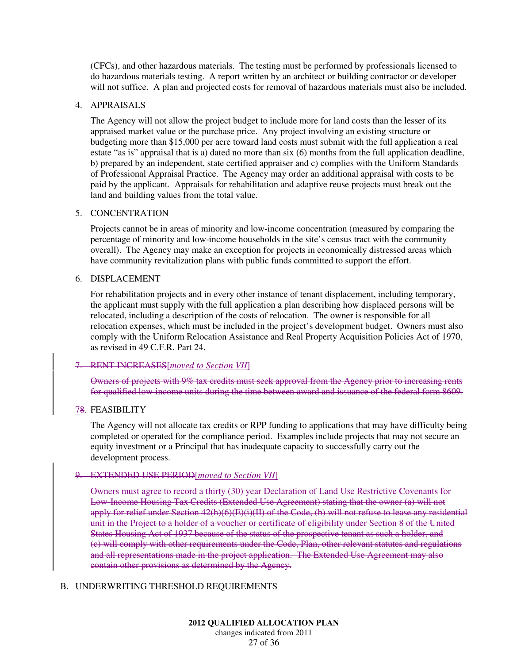(CFCs), and other hazardous materials. The testing must be performed by professionals licensed to do hazardous materials testing. A report written by an architect or building contractor or developer will not suffice. A plan and projected costs for removal of hazardous materials must also be included.

#### 4. APPRAISALS

The Agency will not allow the project budget to include more for land costs than the lesser of its appraised market value or the purchase price. Any project involving an existing structure or budgeting more than \$15,000 per acre toward land costs must submit with the full application a real estate "as is" appraisal that is a) dated no more than six (6) months from the full application deadline, b) prepared by an independent, state certified appraiser and c) complies with the Uniform Standards of Professional Appraisal Practice. The Agency may order an additional appraisal with costs to be paid by the applicant. Appraisals for rehabilitation and adaptive reuse projects must break out the land and building values from the total value.

#### 5. CONCENTRATION

Projects cannot be in areas of minority and low-income concentration (measured by comparing the percentage of minority and low-income households in the site's census tract with the community overall). The Agency may make an exception for projects in economically distressed areas which have community revitalization plans with public funds committed to support the effort.

#### 6. DISPLACEMENT

For rehabilitation projects and in every other instance of tenant displacement, including temporary, the applicant must supply with the full application a plan describing how displaced persons will be relocated, including a description of the costs of relocation. The owner is responsible for all relocation expenses, which must be included in the project's development budget. Owners must also comply with the Uniform Relocation Assistance and Real Property Acquisition Policies Act of 1970, as revised in 49 C.F.R. Part 24.

# 7. RENT INCREASES[*moved to Section VII*]

Owners of projects with 9% tax credits must seek approval from the Agency prior to increasing rents for qualified low-income units during the time between award and issuance of the federal form 8609.

# 78. FEASIBILITY

The Agency will not allocate tax credits or RPP funding to applications that may have difficulty being completed or operated for the compliance period. Examples include projects that may not secure an equity investment or a Principal that has inadequate capacity to successfully carry out the development process.

# 9. EXTENDED USE PERIOD[*moved to Section VII*]

Owners must agree to record a thirty (30) year Declaration of Land Use Restrictive Covenants for Low-Income Housing Tax Credits (Extended Use Agreement) stating that the owner (a) will not apply for relief under Section  $42(h)(6)(E)(i)(II)$  of the Code, (b) will not refuse to lease any residential unit in the Project to a holder of a voucher or certificate of eligibility under Section 8 of the United States Housing Act of 1937 because of the status of the prospective tenant as such a holder, and (c) will comply with other requirements under the Code, Plan, other relevant statutes and regulations and all representations made in the project application. The Extended Use Agreement may also contain other provisions as determined by the Agency.

# B. UNDERWRITING THRESHOLD REQUIREMENTS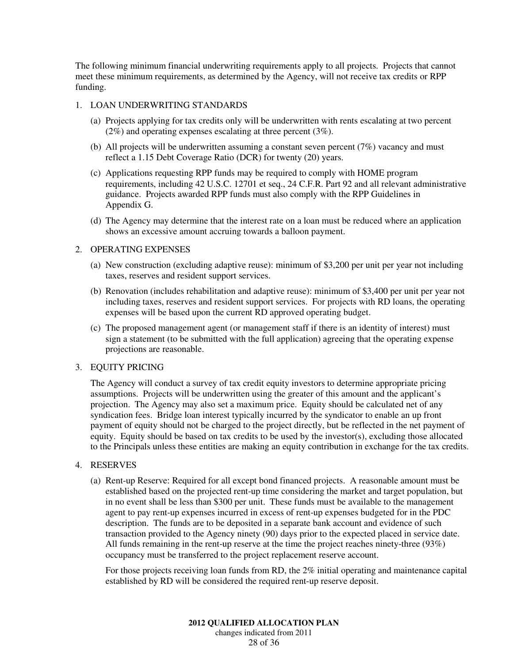The following minimum financial underwriting requirements apply to all projects. Projects that cannot meet these minimum requirements, as determined by the Agency, will not receive tax credits or RPP funding.

#### 1. LOAN UNDERWRITING STANDARDS

- (a) Projects applying for tax credits only will be underwritten with rents escalating at two percent (2%) and operating expenses escalating at three percent (3%).
- (b) All projects will be underwritten assuming a constant seven percent (7%) vacancy and must reflect a 1.15 Debt Coverage Ratio (DCR) for twenty (20) years.
- (c) Applications requesting RPP funds may be required to comply with HOME program requirements, including 42 U.S.C. 12701 et seq., 24 C.F.R. Part 92 and all relevant administrative guidance. Projects awarded RPP funds must also comply with the RPP Guidelines in Appendix G.
- (d) The Agency may determine that the interest rate on a loan must be reduced where an application shows an excessive amount accruing towards a balloon payment.

### 2. OPERATING EXPENSES

- (a) New construction (excluding adaptive reuse): minimum of \$3,200 per unit per year not including taxes, reserves and resident support services.
- (b) Renovation (includes rehabilitation and adaptive reuse): minimum of \$3,400 per unit per year not including taxes, reserves and resident support services. For projects with RD loans, the operating expenses will be based upon the current RD approved operating budget.
- (c) The proposed management agent (or management staff if there is an identity of interest) must sign a statement (to be submitted with the full application) agreeing that the operating expense projections are reasonable.

#### 3. EQUITY PRICING

The Agency will conduct a survey of tax credit equity investors to determine appropriate pricing assumptions. Projects will be underwritten using the greater of this amount and the applicant's projection. The Agency may also set a maximum price. Equity should be calculated net of any syndication fees. Bridge loan interest typically incurred by the syndicator to enable an up front payment of equity should not be charged to the project directly, but be reflected in the net payment of equity. Equity should be based on tax credits to be used by the investor(s), excluding those allocated to the Principals unless these entities are making an equity contribution in exchange for the tax credits.

#### 4. RESERVES

(a) Rent-up Reserve: Required for all except bond financed projects. A reasonable amount must be established based on the projected rent-up time considering the market and target population, but in no event shall be less than \$300 per unit. These funds must be available to the management agent to pay rent-up expenses incurred in excess of rent-up expenses budgeted for in the PDC description. The funds are to be deposited in a separate bank account and evidence of such transaction provided to the Agency ninety (90) days prior to the expected placed in service date. All funds remaining in the rent-up reserve at the time the project reaches ninety-three (93%) occupancy must be transferred to the project replacement reserve account.

For those projects receiving loan funds from RD, the 2% initial operating and maintenance capital established by RD will be considered the required rent-up reserve deposit.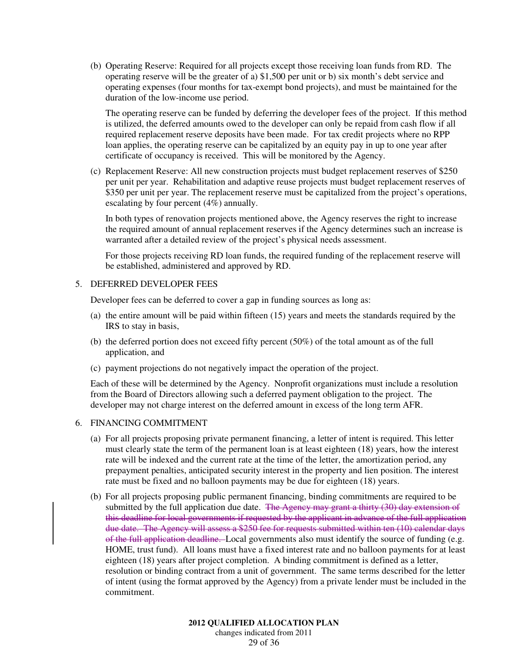(b) Operating Reserve: Required for all projects except those receiving loan funds from RD. The operating reserve will be the greater of a) \$1,500 per unit or b) six month's debt service and operating expenses (four months for tax-exempt bond projects), and must be maintained for the duration of the low-income use period.

The operating reserve can be funded by deferring the developer fees of the project. If this method is utilized, the deferred amounts owed to the developer can only be repaid from cash flow if all required replacement reserve deposits have been made. For tax credit projects where no RPP loan applies, the operating reserve can be capitalized by an equity pay in up to one year after certificate of occupancy is received. This will be monitored by the Agency.

(c) Replacement Reserve: All new construction projects must budget replacement reserves of \$250 per unit per year. Rehabilitation and adaptive reuse projects must budget replacement reserves of \$350 per unit per year. The replacement reserve must be capitalized from the project's operations, escalating by four percent (4%) annually.

In both types of renovation projects mentioned above, the Agency reserves the right to increase the required amount of annual replacement reserves if the Agency determines such an increase is warranted after a detailed review of the project's physical needs assessment.

For those projects receiving RD loan funds, the required funding of the replacement reserve will be established, administered and approved by RD.

#### 5. DEFERRED DEVELOPER FEES

Developer fees can be deferred to cover a gap in funding sources as long as:

- (a) the entire amount will be paid within fifteen (15) years and meets the standards required by the IRS to stay in basis,
- (b) the deferred portion does not exceed fifty percent (50%) of the total amount as of the full application, and
- (c) payment projections do not negatively impact the operation of the project.

Each of these will be determined by the Agency. Nonprofit organizations must include a resolution from the Board of Directors allowing such a deferred payment obligation to the project. The developer may not charge interest on the deferred amount in excess of the long term AFR.

#### 6. FINANCING COMMITMENT

- (a) For all projects proposing private permanent financing, a letter of intent is required. This letter must clearly state the term of the permanent loan is at least eighteen (18) years, how the interest rate will be indexed and the current rate at the time of the letter, the amortization period, any prepayment penalties, anticipated security interest in the property and lien position. The interest rate must be fixed and no balloon payments may be due for eighteen (18) years.
- (b) For all projects proposing public permanent financing, binding commitments are required to be submitted by the full application due date. The Agency may grant a thirty (30) day extension of this deadline for local governments if requested by the applicant in advance of the full application due date. The Agency will assess a \$250 fee for requests submitted within ten (10) calendar days of the full application deadline. Local governments also must identify the source of funding (e.g. HOME, trust fund). All loans must have a fixed interest rate and no balloon payments for at least eighteen (18) years after project completion. A binding commitment is defined as a letter, resolution or binding contract from a unit of government. The same terms described for the letter of intent (using the format approved by the Agency) from a private lender must be included in the commitment.

**2012 QUALIFIED ALLOCATION PLAN**  changes indicated from 2011 29 of 36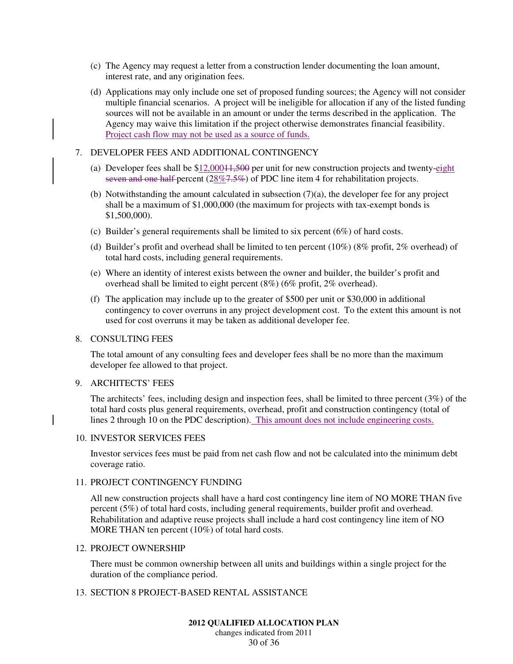- (c) The Agency may request a letter from a construction lender documenting the loan amount, interest rate, and any origination fees.
- (d) Applications may only include one set of proposed funding sources; the Agency will not consider multiple financial scenarios. A project will be ineligible for allocation if any of the listed funding sources will not be available in an amount or under the terms described in the application. The Agency may waive this limitation if the project otherwise demonstrates financial feasibility. Project cash flow may not be used as a source of funds.

# 7. DEVELOPER FEES AND ADDITIONAL CONTINGENCY

- (a) Developer fees shall be  $$12,000+1,500$  per unit for new construction projects and twenty-eight seven and one half-percent (28%–7.5%) of PDC line item 4 for rehabilitation projects.
- (b) Notwithstanding the amount calculated in subsection  $(7)(a)$ , the developer fee for any project shall be a maximum of \$1,000,000 (the maximum for projects with tax-exempt bonds is \$1,500,000).
- (c) Builder's general requirements shall be limited to six percent (6%) of hard costs.
- (d) Builder's profit and overhead shall be limited to ten percent (10%) (8% profit, 2% overhead) of total hard costs, including general requirements.
- (e) Where an identity of interest exists between the owner and builder, the builder's profit and overhead shall be limited to eight percent (8%) (6% profit, 2% overhead).
- (f) The application may include up to the greater of \$500 per unit or \$30,000 in additional contingency to cover overruns in any project development cost. To the extent this amount is not used for cost overruns it may be taken as additional developer fee.

#### 8. CONSULTING FEES

The total amount of any consulting fees and developer fees shall be no more than the maximum developer fee allowed to that project.

#### 9. ARCHITECTS' FEES

The architects' fees, including design and inspection fees, shall be limited to three percent (3%) of the total hard costs plus general requirements, overhead, profit and construction contingency (total of lines 2 through 10 on the PDC description). This amount does not include engineering costs.

#### 10. INVESTOR SERVICES FEES

Investor services fees must be paid from net cash flow and not be calculated into the minimum debt coverage ratio.

#### 11. PROJECT CONTINGENCY FUNDING

All new construction projects shall have a hard cost contingency line item of NO MORE THAN five percent (5%) of total hard costs, including general requirements, builder profit and overhead. Rehabilitation and adaptive reuse projects shall include a hard cost contingency line item of NO MORE THAN ten percent (10%) of total hard costs.

#### 12. PROJECT OWNERSHIP

There must be common ownership between all units and buildings within a single project for the duration of the compliance period.

# 13. SECTION 8 PROJECT-BASED RENTAL ASSISTANCE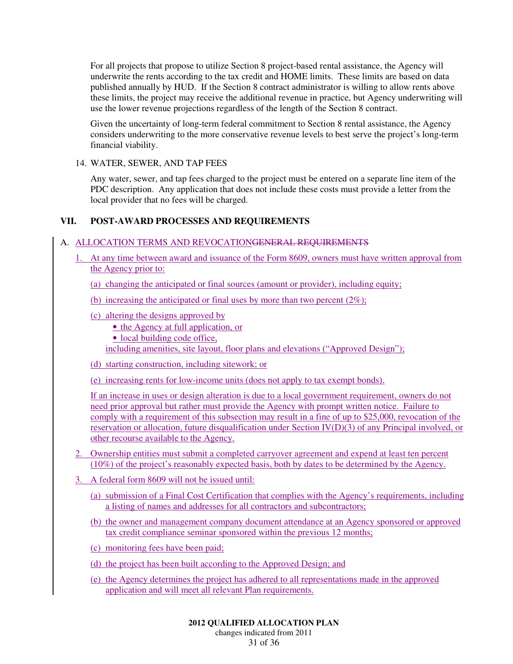For all projects that propose to utilize Section 8 project-based rental assistance, the Agency will underwrite the rents according to the tax credit and HOME limits. These limits are based on data published annually by HUD. If the Section 8 contract administrator is willing to allow rents above these limits, the project may receive the additional revenue in practice, but Agency underwriting will use the lower revenue projections regardless of the length of the Section 8 contract.

Given the uncertainty of long-term federal commitment to Section 8 rental assistance, the Agency considers underwriting to the more conservative revenue levels to best serve the project's long-term financial viability.

14. WATER, SEWER, AND TAP FEES

Any water, sewer, and tap fees charged to the project must be entered on a separate line item of the PDC description. Any application that does not include these costs must provide a letter from the local provider that no fees will be charged.

# **VII. POST-AWARD PROCESSES AND REQUIREMENTS**

# A. ALLOCATION TERMS AND REVOCATIONGENERAL REQUIREMENTS

1. At any time between award and issuance of the Form 8609, owners must have written approval from the Agency prior to:

(a) changing the anticipated or final sources (amount or provider), including equity;

- (b) increasing the anticipated or final uses by more than two percent  $(2\%)$ ;
- (c) altering the designs approved by
	- the Agency at full application, or
	- local building code office,

including amenities, site layout, floor plans and elevations ("Approved Design");

- (d) starting construction, including sitework; or
- (e) increasing rents for low-income units (does not apply to tax exempt bonds).

If an increase in uses or design alteration is due to a local government requirement, owners do not need prior approval but rather must provide the Agency with prompt written notice. Failure to comply with a requirement of this subsection may result in a fine of up to \$25,000, revocation of the reservation or allocation, future disqualification under Section IV(D)(3) of any Principal involved, or other recourse available to the Agency.

- 2. Ownership entities must submit a completed carryover agreement and expend at least ten percent (10%) of the project's reasonably expected basis, both by dates to be determined by the Agency.
- 3. A federal form 8609 will not be issued until:
	- (a) submission of a Final Cost Certification that complies with the Agency's requirements, including a listing of names and addresses for all contractors and subcontractors;
	- (b) the owner and management company document attendance at an Agency sponsored or approved tax credit compliance seminar sponsored within the previous 12 months;
	- (c) monitoring fees have been paid;
	- (d) the project has been built according to the Approved Design; and
	- (e) the Agency determines the project has adhered to all representations made in the approved application and will meet all relevant Plan requirements.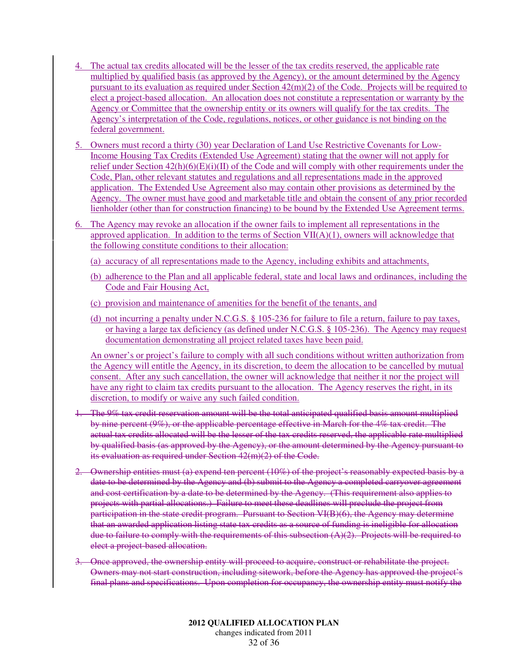- 4. The actual tax credits allocated will be the lesser of the tax credits reserved, the applicable rate multiplied by qualified basis (as approved by the Agency), or the amount determined by the Agency pursuant to its evaluation as required under Section 42(m)(2) of the Code. Projects will be required to elect a project-based allocation. An allocation does not constitute a representation or warranty by the Agency or Committee that the ownership entity or its owners will qualify for the tax credits. The Agency's interpretation of the Code, regulations, notices, or other guidance is not binding on the federal government.
- 5. Owners must record a thirty (30) year Declaration of Land Use Restrictive Covenants for Low-Income Housing Tax Credits (Extended Use Agreement) stating that the owner will not apply for relief under Section 42(h)(6)(E)(i)(II) of the Code and will comply with other requirements under the Code, Plan, other relevant statutes and regulations and all representations made in the approved application. The Extended Use Agreement also may contain other provisions as determined by the Agency. The owner must have good and marketable title and obtain the consent of any prior recorded lienholder (other than for construction financing) to be bound by the Extended Use Agreement terms.
- 6. The Agency may revoke an allocation if the owner fails to implement all representations in the approved application. In addition to the terms of Section VII(A)(1), owners will acknowledge that the following constitute conditions to their allocation:
	- (a) accuracy of all representations made to the Agency, including exhibits and attachments,
	- (b) adherence to the Plan and all applicable federal, state and local laws and ordinances, including the Code and Fair Housing Act,
	- (c) provision and maintenance of amenities for the benefit of the tenants, and
	- (d) not incurring a penalty under N.C.G.S. § 105-236 for failure to file a return, failure to pay taxes, or having a large tax deficiency (as defined under N.C.G.S. § 105-236). The Agency may request documentation demonstrating all project related taxes have been paid.

An owner's or project's failure to comply with all such conditions without written authorization from the Agency will entitle the Agency, in its discretion, to deem the allocation to be cancelled by mutual consent. After any such cancellation, the owner will acknowledge that neither it nor the project will have any right to claim tax credits pursuant to the allocation. The Agency reserves the right, in its discretion, to modify or waive any such failed condition.

- 1. The 9% tax credit reservation amount will be the total anticipated qualified basis amount multiplied by nine percent (9%), or the applicable percentage effective in March for the 4% tax credit. The actual tax credits allocated will be the lesser of the tax credits reserved, the applicable rate multiplied by qualified basis (as approved by the Agency), or the amount determined by the Agency pursuant to its evaluation as required under Section 42(m)(2) of the Code.
- 2. Ownership entities must (a) expend ten percent  $(10\%)$  of the project's reasonably expected basis by a date to be determined by the Agency and (b) submit to the Agency a completed carryover agreement and cost certification by a date to be determined by the Agency. (This requirement also applies to projects with partial allocations.) Failure to meet these deadlines will preclude the project from participation in the state credit program. Pursuant to Section VI(B)(6), the Agency may determine that an awarded application listing state tax credits as a source of funding is ineligible for allocation due to failure to comply with the requirements of this subsection  $(A)(2)$ . Projects will be required to elect a project-based allocation.
- 3. Once approved, the ownership entity will proceed to acquire, construct or rehabilitate the project. Owners may not start construction, including sitework, before the Agency has approved the project's final plans and specifications. Upon completion for occupancy, the ownership entity must notify the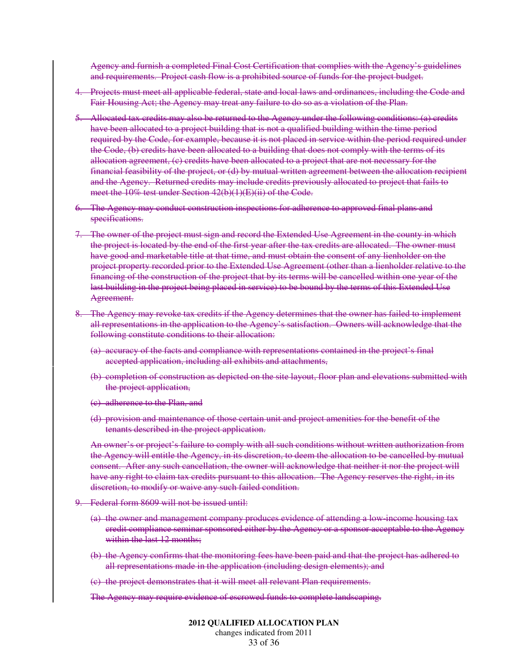Agency and furnish a completed Final Cost Certification that complies with the Agency's guidelines and requirements. Project cash flow is a prohibited source of funds for the project budget.

- 4. Projects must meet all applicable federal, state and local laws and ordinances, including the Code and Fair Housing Act; the Agency may treat any failure to do so as a violation of the Plan.
- 5. Allocated tax credits may also be returned to the Agency under the following conditions: (a) credits have been allocated to a project building that is not a qualified building within the time period required by the Code, for example, because it is not placed in service within the period required under the Code, (b) credits have been allocated to a building that does not comply with the terms of its allocation agreement, (c) credits have been allocated to a project that are not necessary for the financial feasibility of the project, or (d) by mutual written agreement between the allocation recipient and the Agency. Returned credits may include credits previously allocated to project that fails to meet the 10% test under Section 42(b)(1)(E)(ii) of the Code.
- 6. The Agency may conduct construction inspections for adherence to approved final plans and specifications.
- 7. The owner of the project must sign and record the Extended Use Agreement in the county in which the project is located by the end of the first year after the tax credits are allocated. The owner must have good and marketable title at that time, and must obtain the consent of any lienholder on the project property recorded prior to the Extended Use Agreement (other than a lienholder relative to the financing of the construction of the project that by its terms will be cancelled within one year of the last building in the project being placed in service) to be bound by the terms of this Extended Use Agreement.
- 8. The Agency may revoke tax credits if the Agency determines that the owner has failed to implement all representations in the application to the Agency's satisfaction. Owners will acknowledge that the following constitute conditions to their allocation:
	- (a) accuracy of the facts and compliance with representations contained in the project's final accepted application, including all exhibits and attachments,
	- (b) completion of construction as depicted on the site layout, floor plan and elevations submitted with the project application,
	- (c) adherence to the Plan, and
	- (d) provision and maintenance of those certain unit and project amenities for the benefit of the tenants described in the project application.

An owner's or project's failure to comply with all such conditions without written authorization from the Agency will entitle the Agency, in its discretion, to deem the allocation to be cancelled by mutual consent. After any such cancellation, the owner will acknowledge that neither it nor the project will have any right to claim tax credits pursuant to this allocation. The Agency reserves the right, in its discretion, to modify or waive any such failed condition.

- 9. Federal form 8609 will not be issued until:
	- (a) the owner and management company produces evidence of attending a low-income housing tax credit compliance seminar sponsored either by the Agency or a sponsor acceptable to the Agency within the last 12 months;
	- (b) the Agency confirms that the monitoring fees have been paid and that the project has adhered to all representations made in the application (including design elements); and
	- (c) the project demonstrates that it will meet all relevant Plan requirements.

The Agency may require evidence of escrowed funds to complete landscaping.

changes indicated from 2011 33 of 36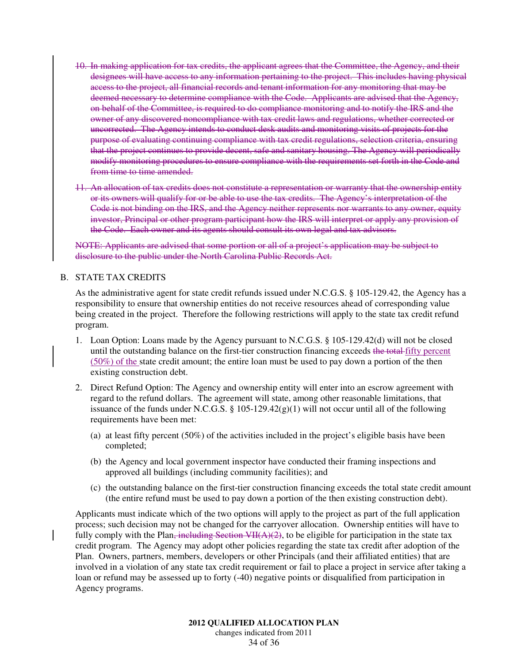- 10. In making application for tax credits, the applicant agrees that the Committee, the Agency, and their designees will have access to any information pertaining to the project. This includes having physical access to the project, all financial records and tenant information for any monitoring that may be deemed necessary to determine compliance with the Code. Applicants are advised that the Agency, on behalf of the Committee, is required to do compliance monitoring and to notify the IRS and the owner of any discovered noncompliance with tax credit laws and regulations, whether corrected or uncorrected. The Agency intends to conduct desk audits and monitoring visits of projects for the purpose of evaluating continuing compliance with tax credit regulations, selection criteria, ensuring that the project continues to provide decent, safe and sanitary housing. The Agency will periodically modify monitoring procedures to ensure compliance with the requirements set forth in the Code and from time to time amended.
- 11. An allocation of tax credits does not constitute a representation or warranty that the ownership entity or its owners will qualify for or be able to use the tax credits. The Agency's interpretation of the Code is not binding on the IRS, and the Agency neither represents nor warrants to any owner, equity investor, Principal or other program participant how the IRS will interpret or apply any provision of the Code. Each owner and its agents should consult its own legal and tax advisors.

NOTE: Applicants are advised that some portion or all of a project's application may be subject to disclosure to the public under the North Carolina Public Records Act.

#### B. STATE TAX CREDITS

As the administrative agent for state credit refunds issued under N.C.G.S. § 105-129.42, the Agency has a responsibility to ensure that ownership entities do not receive resources ahead of corresponding value being created in the project. Therefore the following restrictions will apply to the state tax credit refund program.

- 1. Loan Option: Loans made by the Agency pursuant to N.C.G.S. § 105-129.42(d) will not be closed until the outstanding balance on the first-tier construction financing exceeds the total-fifty percent  $(50\%)$  of the state credit amount; the entire loan must be used to pay down a portion of the then existing construction debt.
- 2. Direct Refund Option: The Agency and ownership entity will enter into an escrow agreement with regard to the refund dollars. The agreement will state, among other reasonable limitations, that issuance of the funds under N.C.G.S.  $\S 105-129.42(g)(1)$  will not occur until all of the following requirements have been met:
	- (a) at least fifty percent (50%) of the activities included in the project's eligible basis have been completed;
	- (b) the Agency and local government inspector have conducted their framing inspections and approved all buildings (including community facilities); and
	- (c) the outstanding balance on the first-tier construction financing exceeds the total state credit amount (the entire refund must be used to pay down a portion of the then existing construction debt).

Applicants must indicate which of the two options will apply to the project as part of the full application process; such decision may not be changed for the carryover allocation. Ownership entities will have to fully comply with the Plan, including Section  $VII(A)(2)$ , to be eligible for participation in the state tax credit program. The Agency may adopt other policies regarding the state tax credit after adoption of the Plan. Owners, partners, members, developers or other Principals (and their affiliated entities) that are involved in a violation of any state tax credit requirement or fail to place a project in service after taking a loan or refund may be assessed up to forty (-40) negative points or disqualified from participation in Agency programs.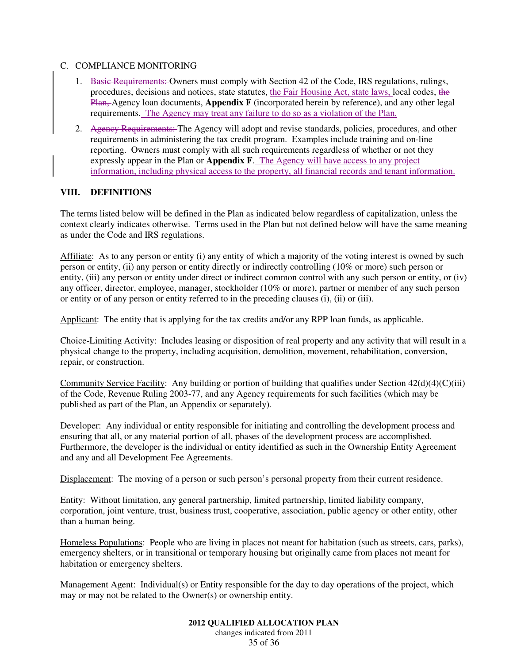#### C. COMPLIANCE MONITORING

- 1. Basic Requirements: Owners must comply with Section 42 of the Code, IRS regulations, rulings, procedures, decisions and notices, state statutes, the Fair Housing Act, state laws, local codes, the Plan, Agency loan documents, **Appendix F** (incorporated herein by reference), and any other legal requirements. The Agency may treat any failure to do so as a violation of the Plan.
- 2. Agency Requirements: The Agency will adopt and revise standards, policies, procedures, and other requirements in administering the tax credit program. Examples include training and on-line reporting. Owners must comply with all such requirements regardless of whether or not they expressly appear in the Plan or **Appendix F**. The Agency will have access to any project information, including physical access to the property, all financial records and tenant information.

# **VIII. DEFINITIONS**

The terms listed below will be defined in the Plan as indicated below regardless of capitalization, unless the context clearly indicates otherwise. Terms used in the Plan but not defined below will have the same meaning as under the Code and IRS regulations.

Affiliate: As to any person or entity (i) any entity of which a majority of the voting interest is owned by such person or entity, (ii) any person or entity directly or indirectly controlling (10% or more) such person or entity, (iii) any person or entity under direct or indirect common control with any such person or entity, or (iv) any officer, director, employee, manager, stockholder (10% or more), partner or member of any such person or entity or of any person or entity referred to in the preceding clauses (i), (ii) or (iii).

Applicant: The entity that is applying for the tax credits and/or any RPP loan funds, as applicable.

Choice-Limiting Activity: Includes leasing or disposition of real property and any activity that will result in a physical change to the property, including acquisition, demolition, movement, rehabilitation, conversion, repair, or construction.

Community Service Facility: Any building or portion of building that qualifies under Section 42(d)(4)(C)(iii) of the Code, Revenue Ruling 2003-77, and any Agency requirements for such facilities (which may be published as part of the Plan, an Appendix or separately).

Developer: Any individual or entity responsible for initiating and controlling the development process and ensuring that all, or any material portion of all, phases of the development process are accomplished. Furthermore, the developer is the individual or entity identified as such in the Ownership Entity Agreement and any and all Development Fee Agreements.

Displacement: The moving of a person or such person's personal property from their current residence.

Entity: Without limitation, any general partnership, limited partnership, limited liability company, corporation, joint venture, trust, business trust, cooperative, association, public agency or other entity, other than a human being.

Homeless Populations: People who are living in places not meant for habitation (such as streets, cars, parks), emergency shelters, or in transitional or temporary housing but originally came from places not meant for habitation or emergency shelters.

Management Agent: Individual(s) or Entity responsible for the day to day operations of the project, which may or may not be related to the Owner(s) or ownership entity.